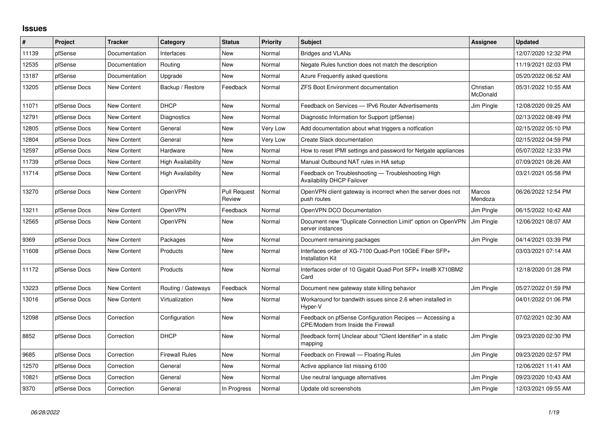## **Issues**

| $\#$  | Project      | Tracker            | Category                 | <b>Status</b>          | <b>Priority</b> | <b>Subject</b>                                                                                | Assignee                 | Updated             |
|-------|--------------|--------------------|--------------------------|------------------------|-----------------|-----------------------------------------------------------------------------------------------|--------------------------|---------------------|
| 11139 | pfSense      | Documentation      | Interfaces               | <b>New</b>             | Normal          | <b>Bridges and VLANs</b>                                                                      |                          | 12/07/2020 12:32 PM |
| 12535 | pfSense      | Documentation      | Routing                  | <b>New</b>             | Normal          | Negate Rules function does not match the description                                          |                          | 11/19/2021 02:03 PM |
| 13187 | pfSense      | Documentation      | Upgrade                  | <b>New</b>             | Normal          | Azure Frequently asked questions                                                              |                          | 05/20/2022 06:52 AM |
| 13205 | pfSense Docs | New Content        | Backup / Restore         | Feedback               | Normal          | <b>ZFS Boot Environment documentation</b>                                                     | Christian<br>McDonald    | 05/31/2022 10:55 AM |
| 11071 | pfSense Docs | <b>New Content</b> | <b>DHCP</b>              | New                    | Normal          | Feedback on Services - IPv6 Router Advertisements                                             | Jim Pingle               | 12/08/2020 09:25 AM |
| 12791 | pfSense Docs | <b>New Content</b> | Diagnostics              | <b>New</b>             | Normal          | Diagnostic Information for Support (pfSense)                                                  |                          | 02/13/2022 08:49 PM |
| 12805 | pfSense Docs | New Content        | General                  | <b>New</b>             | Very Low        | Add documentation about what triggers a notfication                                           |                          | 02/15/2022 05:10 PM |
| 12804 | pfSense Docs | <b>New Content</b> | General                  | <b>New</b>             | Very Low        | Create Slack documentation                                                                    |                          | 02/15/2022 04:59 PM |
| 12597 | pfSense Docs | <b>New Content</b> | Hardware                 | New                    | Normal          | How to reset IPMI settings and password for Netgate appliances                                |                          | 05/07/2022 12:33 PM |
| 11739 | pfSense Docs | <b>New Content</b> | <b>High Availability</b> | <b>New</b>             | Normal          | Manual Outbound NAT rules in HA setup                                                         |                          | 07/09/2021 08:26 AM |
| 11714 | pfSense Docs | New Content        | High Availability        | New                    | Normal          | Feedback on Troubleshooting - Troubleshooting High<br><b>Availability DHCP Failover</b>       |                          | 03/21/2021 05:58 PM |
| 13270 | pfSense Docs | New Content        | <b>OpenVPN</b>           | Pull Request<br>Review | Normal          | OpenVPN client gateway is incorrect when the server does not<br>push routes                   | <b>Marcos</b><br>Mendoza | 06/26/2022 12:54 PM |
| 13211 | pfSense Docs | New Content        | <b>OpenVPN</b>           | Feedback               | Normal          | OpenVPN DCO Documentation                                                                     | Jim Pingle               | 06/15/2022 10:42 AM |
| 12565 | pfSense Docs | New Content        | OpenVPN                  | <b>New</b>             | Normal          | Document new "Duplicate Connection Limit" option on OpenVPN<br>server instances               | Jim Pingle               | 12/06/2021 08:07 AM |
| 9369  | pfSense Docs | <b>New Content</b> | Packages                 | <b>New</b>             | Normal          | Document remaining packages                                                                   | Jim Pingle               | 04/14/2021 03:39 PM |
| 11608 | pfSense Docs | <b>New Content</b> | Products                 | <b>New</b>             | Normal          | Interfaces order of XG-7100 Quad-Port 10GbE Fiber SFP+<br><b>Installation Kit</b>             |                          | 03/03/2021 07:14 AM |
| 11172 | pfSense Docs | <b>New Content</b> | Products                 | <b>New</b>             | Normal          | Interfaces order of 10 Gigabit Quad-Port SFP+ Intel® X710BM2<br>Card                          |                          | 12/18/2020 01:28 PM |
| 13223 | pfSense Docs | New Content        | Routing / Gateways       | Feedback               | Normal          | Document new gateway state killing behavior                                                   | Jim Pingle               | 05/27/2022 01:59 PM |
| 13016 | pfSense Docs | New Content        | Virtualization           | New                    | Normal          | Workaround for bandwith issues since 2.6 when installed in<br>Hyper-V                         |                          | 04/01/2022 01:06 PM |
| 12098 | pfSense Docs | Correction         | Configuration            | <b>New</b>             | Normal          | Feedback on pfSense Configuration Recipes - Accessing a<br>CPE/Modem from Inside the Firewall |                          | 07/02/2021 02:30 AM |
| 8852  | pfSense Docs | Correction         | <b>DHCP</b>              | <b>New</b>             | Normal          | [feedback form] Unclear about "Client Identifier" in a static<br>mapping                      | Jim Pingle               | 09/23/2020 02:30 PM |
| 9685  | pfSense Docs | Correction         | <b>Firewall Rules</b>    | <b>New</b>             | Normal          | Feedback on Firewall - Floating Rules                                                         | Jim Pingle               | 09/23/2020 02:57 PM |
| 12570 | pfSense Docs | Correction         | General                  | <b>New</b>             | Normal          | Active appliance list missing 6100                                                            |                          | 12/06/2021 11:41 AM |
| 10821 | pfSense Docs | Correction         | General                  | <b>New</b>             | Normal          | Use neutral language alternatives                                                             | Jim Pingle               | 09/23/2020 10:43 AM |
| 9370  | pfSense Docs | Correction         | General                  | In Progress            | Normal          | Update old screenshots                                                                        | Jim Pingle               | 12/03/2021 09:55 AM |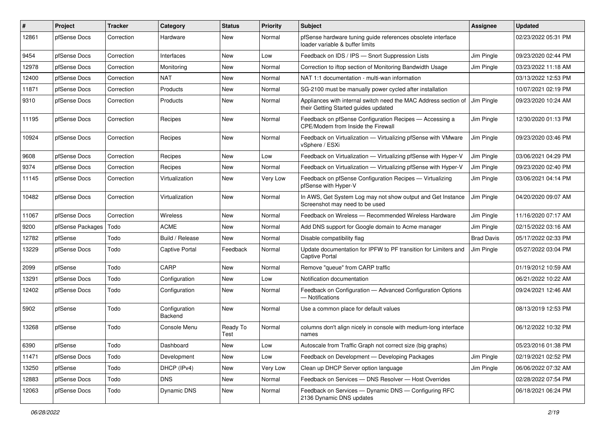| $\vert$ # | Project          | <b>Tracker</b> | Category                 | <b>Status</b>    | <b>Priority</b> | <b>Subject</b>                                                                                          | Assignee          | <b>Updated</b>      |
|-----------|------------------|----------------|--------------------------|------------------|-----------------|---------------------------------------------------------------------------------------------------------|-------------------|---------------------|
| 12861     | pfSense Docs     | Correction     | Hardware                 | New              | Normal          | pfSense hardware tuning guide references obsolete interface<br>loader variable & buffer limits          |                   | 02/23/2022 05:31 PM |
| 9454      | pfSense Docs     | Correction     | Interfaces               | New              | Low             | Feedback on IDS / IPS - Snort Suppression Lists                                                         | Jim Pingle        | 09/23/2020 02:44 PM |
| 12978     | pfSense Docs     | Correction     | Monitoring               | New              | Normal          | Correction to iftop section of Monitoring Bandwidth Usage                                               | Jim Pingle        | 03/23/2022 11:18 AM |
| 12400     | pfSense Docs     | Correction     | <b>NAT</b>               | <b>New</b>       | Normal          | NAT 1:1 documentation - multi-wan information                                                           |                   | 03/13/2022 12:53 PM |
| 11871     | pfSense Docs     | Correction     | Products                 | <b>New</b>       | Normal          | SG-2100 must be manually power cycled after installation                                                |                   | 10/07/2021 02:19 PM |
| 9310      | pfSense Docs     | Correction     | Products                 | New              | Normal          | Appliances with internal switch need the MAC Address section of<br>their Getting Started guides updated | Jim Pingle        | 09/23/2020 10:24 AM |
| 11195     | pfSense Docs     | Correction     | Recipes                  | New              | Normal          | Feedback on pfSense Configuration Recipes - Accessing a<br>CPE/Modem from Inside the Firewall           | Jim Pingle        | 12/30/2020 01:13 PM |
| 10924     | pfSense Docs     | Correction     | Recipes                  | New              | Normal          | Feedback on Virtualization - Virtualizing pfSense with VMware<br>vSphere / ESXi                         | Jim Pingle        | 09/23/2020 03:46 PM |
| 9608      | pfSense Docs     | Correction     | Recipes                  | <b>New</b>       | Low             | Feedback on Virtualization - Virtualizing pfSense with Hyper-V                                          | Jim Pingle        | 03/06/2021 04:29 PM |
| 9374      | pfSense Docs     | Correction     | Recipes                  | New              | Normal          | Feedback on Virtualization - Virtualizing pfSense with Hyper-V                                          | Jim Pingle        | 09/23/2020 02:40 PM |
| 11145     | pfSense Docs     | Correction     | Virtualization           | <b>New</b>       | Very Low        | Feedback on pfSense Configuration Recipes - Virtualizing<br>pfSense with Hyper-V                        | Jim Pingle        | 03/06/2021 04:14 PM |
| 10482     | pfSense Docs     | Correction     | Virtualization           | <b>New</b>       | Normal          | In AWS, Get System Log may not show output and Get Instance<br>Screenshot may need to be used           | Jim Pingle        | 04/20/2020 09:07 AM |
| 11067     | pfSense Docs     | Correction     | Wireless                 | <b>New</b>       | Normal          | Feedback on Wireless - Recommended Wireless Hardware                                                    | Jim Pingle        | 11/16/2020 07:17 AM |
| 9200      | pfSense Packages | Todo           | <b>ACME</b>              | New              | Normal          | Add DNS support for Google domain to Acme manager                                                       | Jim Pingle        | 02/15/2022 03:16 AM |
| 12782     | pfSense          | Todo           | Build / Release          | <b>New</b>       | Normal          | Disable compatibility flag                                                                              | <b>Brad Davis</b> | 05/17/2022 02:33 PM |
| 13229     | pfSense Docs     | Todo           | <b>Captive Portal</b>    | Feedback         | Normal          | Update documentation for IPFW to PF transition for Limiters and<br><b>Captive Portal</b>                | Jim Pingle        | 05/27/2022 03:04 PM |
| 2099      | pfSense          | Todo           | CARP                     | <b>New</b>       | Normal          | Remove "queue" from CARP traffic                                                                        |                   | 01/19/2012 10:59 AM |
| 13291     | pfSense Docs     | Todo           | Configuration            | New              | Low             | Notification documentation                                                                              |                   | 06/21/2022 10:22 AM |
| 12402     | pfSense Docs     | Todo           | Configuration            | New              | Normal          | Feedback on Configuration - Advanced Configuration Options<br>- Notifications                           |                   | 09/24/2021 12:46 AM |
| 5902      | pfSense          | Todo           | Configuration<br>Backend | New              | Normal          | Use a common place for default values                                                                   |                   | 08/13/2019 12:53 PM |
| 13268     | pfSense          | Todo           | Console Menu             | Ready To<br>Test | Normal          | columns don't align nicely in console with medium-long interface<br>names                               |                   | 06/12/2022 10:32 PM |
| 6390      | pfSense          | Todo           | Dashboard                | New              | Low             | Autoscale from Traffic Graph not correct size (big graphs)                                              |                   | 05/23/2016 01:38 PM |
| 11471     | pfSense Docs     | Todo           | Development              | New              | Low             | Feedback on Development - Developing Packages                                                           | Jim Pingle        | 02/19/2021 02:52 PM |
| 13250     | pfSense          | Todo           | DHCP (IPv4)              | New              | Very Low        | Clean up DHCP Server option language                                                                    | Jim Pingle        | 06/06/2022 07:32 AM |
| 12883     | pfSense Docs     | Todo           | <b>DNS</b>               | New              | Normal          | Feedback on Services - DNS Resolver - Host Overrides                                                    |                   | 02/28/2022 07:54 PM |
| 12063     | pfSense Docs     | Todo           | Dynamic DNS              | New              | Normal          | Feedback on Services - Dynamic DNS - Configuring RFC<br>2136 Dynamic DNS updates                        |                   | 06/18/2021 06:24 PM |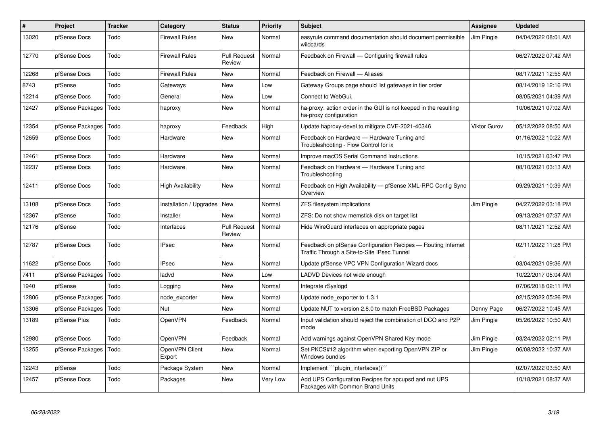| #     | <b>Project</b>   | <b>Tracker</b> | Category                      | <b>Status</b>                 | Priority | <b>Subject</b>                                                                                              | Assignee     | <b>Updated</b>      |
|-------|------------------|----------------|-------------------------------|-------------------------------|----------|-------------------------------------------------------------------------------------------------------------|--------------|---------------------|
| 13020 | pfSense Docs     | Todo           | <b>Firewall Rules</b>         | <b>New</b>                    | Normal   | easyrule command documentation should document permissible<br>wildcards                                     | Jim Pingle   | 04/04/2022 08:01 AM |
| 12770 | pfSense Docs     | Todo           | <b>Firewall Rules</b>         | <b>Pull Request</b><br>Review | Normal   | Feedback on Firewall — Configuring firewall rules                                                           |              | 06/27/2022 07:42 AM |
| 12268 | pfSense Docs     | Todo           | <b>Firewall Rules</b>         | New                           | Normal   | Feedback on Firewall - Aliases                                                                              |              | 08/17/2021 12:55 AM |
| 8743  | pfSense          | Todo           | Gateways                      | <b>New</b>                    | Low      | Gateway Groups page should list gateways in tier order                                                      |              | 08/14/2019 12:16 PM |
| 12214 | pfSense Docs     | Todo           | General                       | New                           | Low      | Connect to WebGui.                                                                                          |              | 08/05/2021 04:39 AM |
| 12427 | pfSense Packages | Todo           | haproxy                       | <b>New</b>                    | Normal   | ha-proxy: action order in the GUI is not keeped in the resulting<br>ha-proxy configuration                  |              | 10/06/2021 07:02 AM |
| 12354 | pfSense Packages | Todo           | haproxy                       | Feedback                      | High     | Update haproxy-devel to mitigate CVE-2021-40346                                                             | Viktor Gurov | 05/12/2022 08:50 AM |
| 12659 | pfSense Docs     | Todo           | Hardware                      | New                           | Normal   | Feedback on Hardware - Hardware Tuning and<br>Troubleshooting - Flow Control for ix                         |              | 01/16/2022 10:22 AM |
| 12461 | pfSense Docs     | Todo           | Hardware                      | New                           | Normal   | Improve macOS Serial Command Instructions                                                                   |              | 10/15/2021 03:47 PM |
| 12237 | pfSense Docs     | Todo           | Hardware                      | New                           | Normal   | Feedback on Hardware - Hardware Tuning and<br>Troubleshooting                                               |              | 08/10/2021 03:13 AM |
| 12411 | pfSense Docs     | Todo           | <b>High Availability</b>      | New                           | Normal   | Feedback on High Availability - pfSense XML-RPC Config Sync<br>Overview                                     |              | 09/29/2021 10:39 AM |
| 13108 | pfSense Docs     | Todo           | Installation / Upgrades   New |                               | Normal   | ZFS filesystem implications                                                                                 | Jim Pingle   | 04/27/2022 03:18 PM |
| 12367 | pfSense          | Todo           | Installer                     | <b>New</b>                    | Normal   | ZFS: Do not show memstick disk on target list                                                               |              | 09/13/2021 07:37 AM |
| 12176 | pfSense          | Todo           | Interfaces                    | <b>Pull Request</b><br>Review | Normal   | Hide WireGuard interfaces on appropriate pages                                                              |              | 08/11/2021 12:52 AM |
| 12787 | pfSense Docs     | Todo           | <b>IPsec</b>                  | New                           | Normal   | Feedback on pfSense Configuration Recipes - Routing Internet<br>Traffic Through a Site-to-Site IPsec Tunnel |              | 02/11/2022 11:28 PM |
| 11622 | pfSense Docs     | Todo           | <b>IPsec</b>                  | New                           | Normal   | Update pfSense VPC VPN Configuration Wizard docs                                                            |              | 03/04/2021 09:36 AM |
| 7411  | pfSense Packages | Todo           | ladvd                         | <b>New</b>                    | Low      | LADVD Devices not wide enough                                                                               |              | 10/22/2017 05:04 AM |
| 1940  | pfSense          | Todo           | Logging                       | <b>New</b>                    | Normal   | Integrate rSyslogd                                                                                          |              | 07/06/2018 02:11 PM |
| 12806 | pfSense Packages | Todo           | node exporter                 | New                           | Normal   | Update node exporter to 1.3.1                                                                               |              | 02/15/2022 05:26 PM |
| 13306 | pfSense Packages | Todo           | Nut                           | New                           | Normal   | Update NUT to version 2.8.0 to match FreeBSD Packages                                                       | Denny Page   | 06/27/2022 10:45 AM |
| 13189 | pfSense Plus     | Todo           | <b>OpenVPN</b>                | Feedback                      | Normal   | Input validation should reject the combination of DCO and P2P<br>mode                                       | Jim Pingle   | 05/26/2022 10:50 AM |
| 12980 | pfSense Docs     | Todo           | <b>OpenVPN</b>                | Feedback                      | Normal   | Add warnings against OpenVPN Shared Key mode                                                                | Jim Pingle   | 03/24/2022 02:11 PM |
| 13255 | pfSense Packages | Todo           | OpenVPN Client<br>Export      | New                           | Normal   | Set PKCS#12 algorithm when exporting OpenVPN ZIP or<br>Windows bundles                                      | Jim Pingle   | 06/08/2022 10:37 AM |
| 12243 | pfSense          | Todo           | Package System                | <b>New</b>                    | Normal   | Implement "plugin interfaces()"                                                                             |              | 02/07/2022 03:50 AM |
| 12457 | pfSense Docs     | Todo           | Packages                      | New                           | Very Low | Add UPS Configuration Recipes for apcupsd and nut UPS<br>Packages with Common Brand Units                   |              | 10/18/2021 08:37 AM |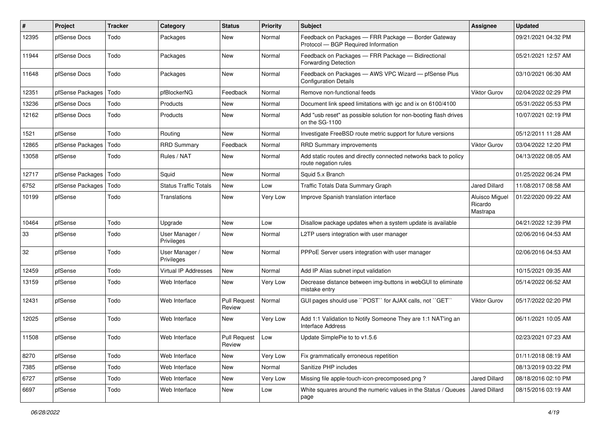| $\sharp$ | Project          | <b>Tracker</b> | Category                     | <b>Status</b>                 | Priority | <b>Subject</b>                                                                             | Assignee                              | <b>Updated</b>      |
|----------|------------------|----------------|------------------------------|-------------------------------|----------|--------------------------------------------------------------------------------------------|---------------------------------------|---------------------|
| 12395    | pfSense Docs     | Todo           | Packages                     | New                           | Normal   | Feedback on Packages - FRR Package - Border Gateway<br>Protocol - BGP Required Information |                                       | 09/21/2021 04:32 PM |
| 11944    | pfSense Docs     | Todo           | Packages                     | New                           | Normal   | Feedback on Packages - FRR Package - Bidirectional<br><b>Forwarding Detection</b>          |                                       | 05/21/2021 12:57 AM |
| 11648    | pfSense Docs     | Todo           | Packages                     | New                           | Normal   | Feedback on Packages - AWS VPC Wizard - pfSense Plus<br><b>Configuration Details</b>       |                                       | 03/10/2021 06:30 AM |
| 12351    | pfSense Packages | Todo           | pfBlockerNG                  | Feedback                      | Normal   | Remove non-functional feeds                                                                | <b>Viktor Gurov</b>                   | 02/04/2022 02:29 PM |
| 13236    | pfSense Docs     | Todo           | Products                     | New                           | Normal   | Document link speed limitations with igc and ix on 6100/4100                               |                                       | 05/31/2022 05:53 PM |
| 12162    | pfSense Docs     | Todo           | Products                     | New                           | Normal   | Add "usb reset" as possible solution for non-booting flash drives<br>on the SG-1100        |                                       | 10/07/2021 02:19 PM |
| 1521     | pfSense          | Todo           | Routing                      | New                           | Normal   | Investigate FreeBSD route metric support for future versions                               |                                       | 05/12/2011 11:28 AM |
| 12865    | pfSense Packages | Todo           | <b>RRD Summary</b>           | Feedback                      | Normal   | RRD Summary improvements                                                                   | Viktor Gurov                          | 03/04/2022 12:20 PM |
| 13058    | pfSense          | Todo           | Rules / NAT                  | New                           | Normal   | Add static routes and directly connected networks back to policy<br>route negation rules   |                                       | 04/13/2022 08:05 AM |
| 12717    | pfSense Packages | Todo           | Squid                        | New                           | Normal   | Squid 5.x Branch                                                                           |                                       | 01/25/2022 06:24 PM |
| 6752     | pfSense Packages | Todo           | <b>Status Traffic Totals</b> | New                           | Low      | Traffic Totals Data Summary Graph                                                          | <b>Jared Dillard</b>                  | 11/08/2017 08:58 AM |
| 10199    | pfSense          | Todo           | Translations                 | New                           | Very Low | Improve Spanish translation interface                                                      | Aluisco Miguel<br>Ricardo<br>Mastrapa | 01/22/2020 09:22 AM |
| 10464    | pfSense          | Todo           | Upgrade                      | New                           | Low      | Disallow package updates when a system update is available                                 |                                       | 04/21/2022 12:39 PM |
| 33       | pfSense          | Todo           | User Manager /<br>Privileges | New                           | Normal   | L2TP users integration with user manager                                                   |                                       | 02/06/2016 04:53 AM |
| 32       | pfSense          | Todo           | User Manager /<br>Privileges | <b>New</b>                    | Normal   | PPPoE Server users integration with user manager                                           |                                       | 02/06/2016 04:53 AM |
| 12459    | pfSense          | Todo           | <b>Virtual IP Addresses</b>  | New                           | Normal   | Add IP Alias subnet input validation                                                       |                                       | 10/15/2021 09:35 AM |
| 13159    | pfSense          | Todo           | Web Interface                | New                           | Very Low | Decrease distance between img-buttons in webGUI to eliminate<br>mistake entry              |                                       | 05/14/2022 06:52 AM |
| 12431    | pfSense          | Todo           | Web Interface                | <b>Pull Request</b><br>Review | Normal   | GUI pages should use "POST" for AJAX calls, not "GET"                                      | <b>Viktor Gurov</b>                   | 05/17/2022 02:20 PM |
| 12025    | pfSense          | Todo           | Web Interface                | New                           | Very Low | Add 1:1 Validation to Notify Someone They are 1:1 NAT'ing an<br><b>Interface Address</b>   |                                       | 06/11/2021 10:05 AM |
| 11508    | pfSense          | Todo           | Web Interface                | <b>Pull Request</b><br>Review | Low      | Update SimplePie to to v1.5.6                                                              |                                       | 02/23/2021 07:23 AM |
| 8270     | pfSense          | Todo           | Web Interface                | New                           | Very Low | Fix grammatically erroneous repetition                                                     |                                       | 01/11/2018 08:19 AM |
| 7385     | pfSense          | Todo           | Web Interface                | New                           | Normal   | Sanitize PHP includes                                                                      |                                       | 08/13/2019 03:22 PM |
| 6727     | pfSense          | Todo           | Web Interface                | New                           | Very Low | Missing file apple-touch-icon-precomposed.png?                                             | Jared Dillard                         | 08/18/2016 02:10 PM |
| 6697     | pfSense          | Todo           | Web Interface                | New                           | Low      | White squares around the numeric values in the Status / Queues<br>page                     | Jared Dillard                         | 08/15/2016 03:19 AM |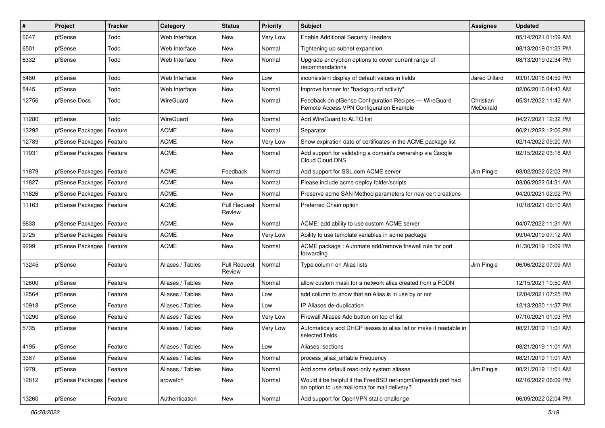| #     | Project                    | <b>Tracker</b> | Category         | <b>Status</b>                 | <b>Priority</b> | Subject                                                                                                       | <b>Assignee</b>       | <b>Updated</b>      |
|-------|----------------------------|----------------|------------------|-------------------------------|-----------------|---------------------------------------------------------------------------------------------------------------|-----------------------|---------------------|
| 6647  | pfSense                    | Todo           | Web Interface    | New                           | Very Low        | <b>Enable Additional Security Headers</b>                                                                     |                       | 05/14/2021 01:09 AM |
| 6501  | pfSense                    | Todo           | Web Interface    | New                           | Normal          | Tightening up subnet expansion                                                                                |                       | 08/13/2019 01:23 PM |
| 6332  | pfSense                    | Todo           | Web Interface    | New                           | Normal          | Upgrade encryption options to cover current range of<br>recommendations                                       |                       | 08/13/2019 02:34 PM |
| 5480  | pfSense                    | Todo           | Web Interface    | New                           | Low             | inconsistent display of default values in fields                                                              | <b>Jared Dillard</b>  | 03/01/2016 04:59 PM |
| 5445  | pfSense                    | Todo           | Web Interface    | New                           | Normal          | Improve banner for "background activity"                                                                      |                       | 02/06/2016 04:43 AM |
| 12756 | pfSense Docs               | Todo           | WireGuard        | New                           | Normal          | Feedback on pfSense Configuration Recipes - WireGuard<br>Remote Access VPN Configuration Example              | Christian<br>McDonald | 05/31/2022 11:42 AM |
| 11280 | pfSense                    | Todo           | WireGuard        | New                           | Normal          | Add WireGuard to ALTQ list                                                                                    |                       | 04/27/2021 12:32 PM |
| 13292 | pfSense Packages           | Feature        | <b>ACME</b>      | New                           | Normal          | Separator                                                                                                     |                       | 06/21/2022 12:06 PM |
| 12789 | pfSense Packages           | Feature        | <b>ACME</b>      | New                           | Very Low        | Show expiration date of certificates in the ACME package list                                                 |                       | 02/14/2022 09:20 AM |
| 11931 | pfSense Packages   Feature |                | <b>ACME</b>      | <b>New</b>                    | Normal          | Add support for validating a domain's ownership via Google<br>Cloud Cloud DNS                                 |                       | 02/15/2022 03:18 AM |
| 11879 | pfSense Packages           | Feature        | <b>ACME</b>      | Feedback                      | Normal          | Add support for SSL.com ACME server                                                                           | Jim Pingle            | 03/02/2022 02:03 PM |
| 11827 | pfSense Packages           | Feature        | <b>ACME</b>      | New                           | Normal          | Please include acme deploy folder/scripts                                                                     |                       | 03/06/2022 04:31 AM |
| 11826 | pfSense Packages           | Feature        | <b>ACME</b>      | <b>New</b>                    | Normal          | Preserve acme SAN Method parameters for new cert creations                                                    |                       | 04/20/2021 02:02 PM |
| 11163 | pfSense Packages   Feature |                | <b>ACME</b>      | <b>Pull Request</b><br>Review | Normal          | Preferred Chain option                                                                                        |                       | 10/18/2021 09:10 AM |
| 9833  | pfSense Packages           | Feature        | <b>ACME</b>      | New                           | Normal          | ACME: add ability to use custom ACME server                                                                   |                       | 04/07/2022 11:31 AM |
| 9725  | pfSense Packages           | Feature        | <b>ACME</b>      | New                           | Very Low        | Ability to use template variables in acme package                                                             |                       | 09/04/2019 07:12 AM |
| 9299  | pfSense Packages           | Feature        | <b>ACME</b>      | New                           | Normal          | ACME package: Automate add/remove firewall rule for port<br>forwarding                                        |                       | 01/30/2019 10:09 PM |
| 13245 | pfSense                    | Feature        | Aliases / Tables | <b>Pull Request</b><br>Review | Normal          | Type column on Alias lists                                                                                    | Jim Pingle            | 06/06/2022 07:09 AM |
| 12600 | pfSense                    | Feature        | Aliases / Tables | New                           | Normal          | allow custom mask for a network alias created from a FQDN                                                     |                       | 12/15/2021 10:50 AM |
| 12564 | pfSense                    | Feature        | Aliases / Tables | <b>New</b>                    | Low             | add column to show that an Alias is in use by or not                                                          |                       | 12/04/2021 07:25 PM |
| 10918 | pfSense                    | Feature        | Aliases / Tables | New                           | Low             | IP Aliases de-duplication                                                                                     |                       | 12/13/2020 11:37 PM |
| 10290 | pfSense                    | Feature        | Aliases / Tables | New                           | Very Low        | Firewall Aliases Add button on top of list                                                                    |                       | 07/10/2021 01:03 PM |
| 5735  | pfSense                    | Feature        | Aliases / Tables | New                           | Very Low        | Automaticaly add DHCP leases to alias list or make it readable in<br>selected fields                          |                       | 08/21/2019 11:01 AM |
| 4195  | pfSense                    | Feature        | Aliases / Tables | New                           | Low             | Aliases: sections                                                                                             |                       | 08/21/2019 11:01 AM |
| 3387  | pfSense                    | Feature        | Aliases / Tables | New                           | Normal          | process_alias_urItable Frequency                                                                              |                       | 08/21/2019 11:01 AM |
| 1979  | pfSense                    | Feature        | Aliases / Tables | New                           | Normal          | Add some default read-only system aliases                                                                     | Jim Pingle            | 08/21/2019 11:01 AM |
| 12812 | pfSense Packages           | Feature        | arpwatch         | New                           | Normal          | Would it be helpful if the FreeBSD net-mgmt/arpwatch port had<br>an option to use mail/dma for mail delivery? |                       | 02/16/2022 06:09 PM |
| 13260 | pfSense                    | Feature        | Authentication   | New                           | Normal          | Add support for OpenVPN static-challenge                                                                      |                       | 06/09/2022 02:04 PM |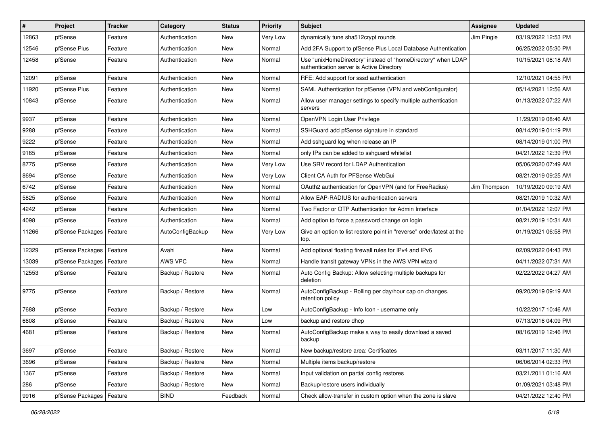| $\vert$ # | Project          | <b>Tracker</b> | Category         | <b>Status</b> | <b>Priority</b> | <b>Subject</b>                                                                                            | Assignee     | <b>Updated</b>      |
|-----------|------------------|----------------|------------------|---------------|-----------------|-----------------------------------------------------------------------------------------------------------|--------------|---------------------|
| 12863     | pfSense          | Feature        | Authentication   | New           | Very Low        | dynamically tune sha512crypt rounds                                                                       | Jim Pingle   | 03/19/2022 12:53 PM |
| 12546     | pfSense Plus     | Feature        | Authentication   | New           | Normal          | Add 2FA Support to pfSense Plus Local Database Authentication                                             |              | 06/25/2022 05:30 PM |
| 12458     | pfSense          | Feature        | Authentication   | New           | Normal          | Use "unixHomeDirectory" instead of "homeDirectory" when LDAP<br>authentication server is Active Directory |              | 10/15/2021 08:18 AM |
| 12091     | pfSense          | Feature        | Authentication   | New           | Normal          | RFE: Add support for sssd authentication                                                                  |              | 12/10/2021 04:55 PM |
| 11920     | pfSense Plus     | Feature        | Authentication   | New           | Normal          | SAML Authentication for pfSense (VPN and webConfigurator)                                                 |              | 05/14/2021 12:56 AM |
| 10843     | pfSense          | Feature        | Authentication   | New           | Normal          | Allow user manager settings to specify multiple authentication<br>servers                                 |              | 01/13/2022 07:22 AM |
| 9937      | pfSense          | Feature        | Authentication   | New           | Normal          | OpenVPN Login User Privilege                                                                              |              | 11/29/2019 08:46 AM |
| 9288      | pfSense          | Feature        | Authentication   | New           | Normal          | SSHGuard add pfSense signature in standard                                                                |              | 08/14/2019 01:19 PM |
| 9222      | pfSense          | Feature        | Authentication   | New           | Normal          | Add sshguard log when release an IP                                                                       |              | 08/14/2019 01:00 PM |
| 9165      | pfSense          | Feature        | Authentication   | New           | Normal          | only IPs can be added to sshguard whitelist                                                               |              | 04/21/2022 12:39 PM |
| 8775      | pfSense          | Feature        | Authentication   | New           | Very Low        | Use SRV record for LDAP Authentication                                                                    |              | 05/06/2020 07:49 AM |
| 8694      | pfSense          | Feature        | Authentication   | New           | Very Low        | Client CA Auth for PFSense WebGui                                                                         |              | 08/21/2019 09:25 AM |
| 6742      | pfSense          | Feature        | Authentication   | New           | Normal          | OAuth2 authentication for OpenVPN (and for FreeRadius)                                                    | Jim Thompson | 10/19/2020 09:19 AM |
| 5825      | pfSense          | Feature        | Authentication   | New           | Normal          | Allow EAP-RADIUS for authentication servers                                                               |              | 08/21/2019 10:32 AM |
| 4242      | pfSense          | Feature        | Authentication   | New           | Normal          | Two Factor or OTP Authentication for Admin Interface                                                      |              | 01/04/2022 12:07 PM |
| 4098      | pfSense          | Feature        | Authentication   | New           | Normal          | Add option to force a password change on login                                                            |              | 08/21/2019 10:31 AM |
| 11266     | pfSense Packages | Feature        | AutoConfigBackup | New           | Very Low        | Give an option to list restore point in "reverse" order/latest at the<br>top.                             |              | 01/19/2021 06:58 PM |
| 12329     | pfSense Packages | Feature        | Avahi            | New           | Normal          | Add optional floating firewall rules for IPv4 and IPv6                                                    |              | 02/09/2022 04:43 PM |
| 13039     | pfSense Packages | Feature        | AWS VPC          | New           | Normal          | Handle transit gateway VPNs in the AWS VPN wizard                                                         |              | 04/11/2022 07:31 AM |
| 12553     | pfSense          | Feature        | Backup / Restore | New           | Normal          | Auto Config Backup: Allow selecting multiple backups for<br>deletion                                      |              | 02/22/2022 04:27 AM |
| 9775      | pfSense          | Feature        | Backup / Restore | New           | Normal          | AutoConfigBackup - Rolling per day/hour cap on changes,<br>retention policy                               |              | 09/20/2019 09:19 AM |
| 7688      | pfSense          | Feature        | Backup / Restore | New           | Low             | AutoConfigBackup - Info Icon - username only                                                              |              | 10/22/2017 10:46 AM |
| 6608      | pfSense          | Feature        | Backup / Restore | New           | Low             | backup and restore dhcp                                                                                   |              | 07/13/2016 04:09 PM |
| 4681      | pfSense          | Feature        | Backup / Restore | New           | Normal          | AutoConfigBackup make a way to easily download a saved<br>backup                                          |              | 08/16/2019 12:46 PM |
| 3697      | pfSense          | Feature        | Backup / Restore | New           | Normal          | New backup/restore area: Certificates                                                                     |              | 03/11/2017 11:30 AM |
| 3696      | pfSense          | Feature        | Backup / Restore | New           | Normal          | Multiple items backup/restore                                                                             |              | 06/06/2014 02:33 PM |
| 1367      | pfSense          | Feature        | Backup / Restore | New           | Normal          | Input validation on partial config restores                                                               |              | 03/21/2011 01:16 AM |
| 286       | pfSense          | Feature        | Backup / Restore | New           | Normal          | Backup/restore users individually                                                                         |              | 01/09/2021 03:48 PM |
| 9916      | pfSense Packages | Feature        | <b>BIND</b>      | Feedback      | Normal          | Check allow-transfer in custom option when the zone is slave                                              |              | 04/21/2022 12:40 PM |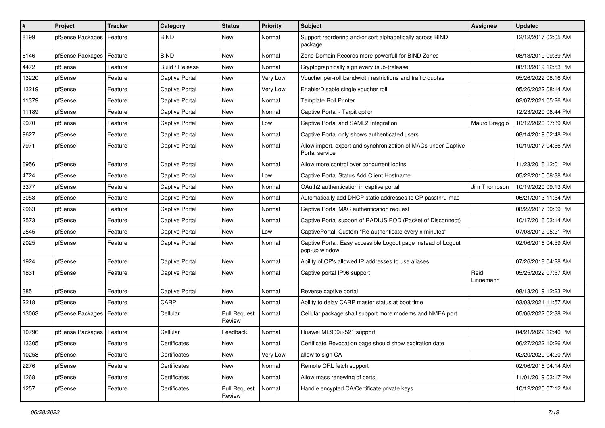| #     | Project          | <b>Tracker</b> | Category              | <b>Status</b>                 | <b>Priority</b> | <b>Subject</b>                                                                   | Assignee          | <b>Updated</b>      |
|-------|------------------|----------------|-----------------------|-------------------------------|-----------------|----------------------------------------------------------------------------------|-------------------|---------------------|
| 8199  | pfSense Packages | Feature        | <b>BIND</b>           | New                           | Normal          | Support reordering and/or sort alphabetically across BIND<br>package             |                   | 12/12/2017 02:05 AM |
| 8146  | pfSense Packages | Feature        | <b>BIND</b>           | New                           | Normal          | Zone Domain Records more powerfull for BIND Zones                                |                   | 08/13/2019 09:39 AM |
| 4472  | pfSense          | Feature        | Build / Release       | New                           | Normal          | Cryptographically sign every (sub-)release                                       |                   | 08/13/2019 12:53 PM |
| 13220 | pfSense          | Feature        | <b>Captive Portal</b> | New                           | Very Low        | Voucher per-roll bandwidth restrictions and traffic quotas                       |                   | 05/26/2022 08:16 AM |
| 13219 | pfSense          | Feature        | <b>Captive Portal</b> | New                           | Very Low        | Enable/Disable single voucher roll                                               |                   | 05/26/2022 08:14 AM |
| 11379 | pfSense          | Feature        | <b>Captive Portal</b> | New                           | Normal          | <b>Template Roll Printer</b>                                                     |                   | 02/07/2021 05:26 AM |
| 11189 | pfSense          | Feature        | <b>Captive Portal</b> | New                           | Normal          | Captive Portal - Tarpit option                                                   |                   | 12/23/2020 06:44 PM |
| 9970  | pfSense          | Feature        | <b>Captive Portal</b> | New                           | Low             | Captive Portal and SAML2 Integration                                             | Mauro Braggio     | 10/12/2020 07:39 AM |
| 9627  | pfSense          | Feature        | <b>Captive Portal</b> | New                           | Normal          | Captive Portal only shows authenticated users                                    |                   | 08/14/2019 02:48 PM |
| 7971  | pfSense          | Feature        | <b>Captive Portal</b> | New                           | Normal          | Allow import, export and synchronization of MACs under Captive<br>Portal service |                   | 10/19/2017 04:56 AM |
| 6956  | pfSense          | Feature        | <b>Captive Portal</b> | New                           | Normal          | Allow more control over concurrent logins                                        |                   | 11/23/2016 12:01 PM |
| 4724  | pfSense          | Feature        | <b>Captive Portal</b> | New                           | Low             | Captive Portal Status Add Client Hostname                                        |                   | 05/22/2015 08:38 AM |
| 3377  | pfSense          | Feature        | <b>Captive Portal</b> | New                           | Normal          | OAuth2 authentication in captive portal                                          | Jim Thompson      | 10/19/2020 09:13 AM |
| 3053  | pfSense          | Feature        | <b>Captive Portal</b> | New                           | Normal          | Automatically add DHCP static addresses to CP passthru-mac                       |                   | 06/21/2013 11:54 AM |
| 2963  | pfSense          | Feature        | <b>Captive Portal</b> | New                           | Normal          | Captive Portal MAC authentication request                                        |                   | 08/22/2017 09:09 PM |
| 2573  | pfSense          | Feature        | <b>Captive Portal</b> | New                           | Normal          | Captive Portal support of RADIUS POD (Packet of Disconnect)                      |                   | 10/17/2016 03:14 AM |
| 2545  | pfSense          | Feature        | <b>Captive Portal</b> | New                           | Low             | CaptivePortal: Custom "Re-authenticate every x minutes"                          |                   | 07/08/2012 05:21 PM |
| 2025  | pfSense          | Feature        | <b>Captive Portal</b> | New                           | Normal          | Captive Portal: Easy accessible Logout page instead of Logout<br>pop-up window   |                   | 02/06/2016 04:59 AM |
| 1924  | pfSense          | Feature        | <b>Captive Portal</b> | New                           | Normal          | Ability of CP's allowed IP addresses to use aliases                              |                   | 07/26/2018 04:28 AM |
| 1831  | pfSense          | Feature        | <b>Captive Portal</b> | New                           | Normal          | Captive portal IPv6 support                                                      | Reid<br>Linnemann | 05/25/2022 07:57 AM |
| 385   | pfSense          | Feature        | Captive Portal        | New                           | Normal          | Reverse captive portal                                                           |                   | 08/13/2019 12:23 PM |
| 2218  | pfSense          | Feature        | CARP                  | New                           | Normal          | Ability to delay CARP master status at boot time                                 |                   | 03/03/2021 11:57 AM |
| 13063 | pfSense Packages | Feature        | Cellular              | <b>Pull Request</b><br>Review | Normal          | Cellular package shall support more modems and NMEA port                         |                   | 05/06/2022 02:38 PM |
| 10796 | pfSense Packages | Feature        | Cellular              | Feedback                      | Normal          | Huawei ME909u-521 support                                                        |                   | 04/21/2022 12:40 PM |
| 13305 | pfSense          | Feature        | Certificates          | New                           | Normal          | Certificate Revocation page should show expiration date                          |                   | 06/27/2022 10:26 AM |
| 10258 | pfSense          | Feature        | Certificates          | New                           | Very Low        | allow to sign CA                                                                 |                   | 02/20/2020 04:20 AM |
| 2276  | pfSense          | Feature        | Certificates          | New                           | Normal          | Remote CRL fetch support                                                         |                   | 02/06/2016 04:14 AM |
| 1268  | pfSense          | Feature        | Certificates          | New                           | Normal          | Allow mass renewing of certs                                                     |                   | 11/01/2019 03:17 PM |
| 1257  | pfSense          | Feature        | Certificates          | <b>Pull Request</b><br>Review | Normal          | Handle encypted CA/Certificate private keys                                      |                   | 10/12/2020 07:12 AM |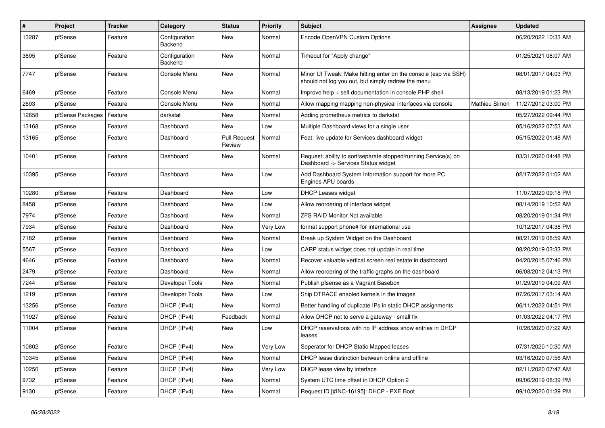| $\vert$ # | Project          | <b>Tracker</b> | Category                 | <b>Status</b>                 | Priority | Subject                                                                                                               | <b>Assignee</b>      | <b>Updated</b>      |
|-----------|------------------|----------------|--------------------------|-------------------------------|----------|-----------------------------------------------------------------------------------------------------------------------|----------------------|---------------------|
| 13287     | pfSense          | Feature        | Configuration<br>Backend | New                           | Normal   | Encode OpenVPN Custom Options                                                                                         |                      | 06/20/2022 10:33 AM |
| 3895      | pfSense          | Feature        | Configuration<br>Backend | New                           | Normal   | Timeout for "Apply change"                                                                                            |                      | 01/25/2021 08:07 AM |
| 7747      | pfSense          | Feature        | Console Menu             | New                           | Normal   | Minor UI Tweak: Make hitting enter on the console (esp via SSH)<br>should not log you out, but simply redraw the menu |                      | 08/01/2017 04:03 PM |
| 6469      | pfSense          | Feature        | Console Menu             | New                           | Normal   | Improve help + self documentation in console PHP shell                                                                |                      | 08/13/2019 01:23 PM |
| 2693      | pfSense          | Feature        | Console Menu             | New                           | Normal   | Allow mapping mapping non-physical interfaces via console                                                             | <b>Mathieu Simon</b> | 11/27/2012 03:00 PM |
| 12658     | pfSense Packages | Feature        | darkstat                 | New                           | Normal   | Adding prometheus metrics to darkstat                                                                                 |                      | 05/27/2022 09:44 PM |
| 13168     | pfSense          | Feature        | Dashboard                | New                           | Low      | Multiple Dashboard views for a single user                                                                            |                      | 05/16/2022 07:53 AM |
| 13165     | pfSense          | Feature        | Dashboard                | <b>Pull Request</b><br>Review | Normal   | Feat: live update for Services dashboard widget                                                                       |                      | 05/15/2022 01:48 AM |
| 10401     | pfSense          | Feature        | Dashboard                | New                           | Normal   | Request: ability to sort/separate stopped/running Service(s) on<br>Dashboard -> Services Status widget                |                      | 03/31/2020 04:48 PM |
| 10395     | pfSense          | Feature        | Dashboard                | New                           | Low      | Add Dashboard System Information support for more PC<br>Engines APU boards                                            |                      | 02/17/2022 01:02 AM |
| 10280     | pfSense          | Feature        | Dashboard                | New                           | Low      | <b>DHCP Leases widget</b>                                                                                             |                      | 11/07/2020 09:18 PM |
| 8458      | pfSense          | Feature        | Dashboard                | New                           | Low      | Allow reordering of interface widget                                                                                  |                      | 08/14/2019 10:52 AM |
| 7974      | pfSense          | Feature        | Dashboard                | New                           | Normal   | <b>ZFS RAID Monitor Not available</b>                                                                                 |                      | 08/20/2019 01:34 PM |
| 7934      | pfSense          | Feature        | Dashboard                | New                           | Very Low | format support phone# for international use                                                                           |                      | 10/12/2017 04:38 PM |
| 7182      | pfSense          | Feature        | Dashboard                | New                           | Normal   | Break up System Widget on the Dashboard                                                                               |                      | 08/21/2019 08:59 AM |
| 5567      | pfSense          | Feature        | Dashboard                | New                           | Low      | CARP status widget does not update in real time                                                                       |                      | 08/20/2019 03:33 PM |
| 4646      | pfSense          | Feature        | Dashboard                | New                           | Normal   | Recover valuable vertical screen real estate in dashboard                                                             |                      | 04/20/2015 07:46 PM |
| 2479      | pfSense          | Feature        | Dashboard                | New                           | Normal   | Allow reordering of the traffic graphs on the dashboard                                                               |                      | 06/08/2012 04:13 PM |
| 7244      | pfSense          | Feature        | Developer Tools          | New                           | Normal   | Publish pfsense as a Vagrant Basebox                                                                                  |                      | 01/29/2019 04:09 AM |
| 1219      | pfSense          | Feature        | Developer Tools          | New                           | Low      | Ship DTRACE enabled kernels in the images                                                                             |                      | 07/26/2017 03:14 AM |
| 13256     | pfSense          | Feature        | DHCP (IPv4)              | New                           | Normal   | Better handling of duplicate IPs in static DHCP assignments                                                           |                      | 06/11/2022 04:51 PM |
| 11927     | pfSense          | Feature        | DHCP (IPv4)              | Feedback                      | Normal   | Allow DHCP not to serve a gateway - small fix                                                                         |                      | 01/03/2022 04:17 PM |
| 11004     | pfSense          | Feature        | DHCP (IPv4)              | New                           | Low      | DHCP reservations with no IP address show entries in DHCP<br>leases                                                   |                      | 10/26/2020 07:22 AM |
| 10802     | pfSense          | Feature        | DHCP (IPv4)              | New                           | Very Low | Seperator for DHCP Static Mapped leases                                                                               |                      | 07/31/2020 10:30 AM |
| 10345     | pfSense          | Feature        | DHCP (IPv4)              | New                           | Normal   | DHCP lease distinction between online and offline                                                                     |                      | 03/16/2020 07:56 AM |
| 10250     | pfSense          | Feature        | DHCP (IPv4)              | New                           | Very Low | DHCP lease view by interface                                                                                          |                      | 02/11/2020 07:47 AM |
| 9732      | pfSense          | Feature        | DHCP (IPv4)              | New                           | Normal   | System UTC time offset in DHCP Option 2                                                                               |                      | 09/06/2019 08:39 PM |
| 9130      | pfSense          | Feature        | DHCP (IPv4)              | New                           | Normal   | Request ID [#INC-16195]: DHCP - PXE Boot                                                                              |                      | 09/10/2020 01:39 PM |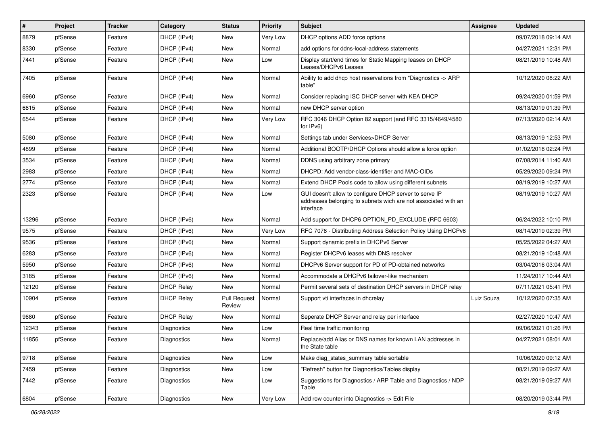| $\vert$ # | Project | <b>Tracker</b> | Category          | <b>Status</b>                 | Priority | <b>Subject</b>                                                                                                                        | Assignee   | <b>Updated</b>      |
|-----------|---------|----------------|-------------------|-------------------------------|----------|---------------------------------------------------------------------------------------------------------------------------------------|------------|---------------------|
| 8879      | pfSense | Feature        | DHCP (IPv4)       | New                           | Very Low | DHCP options ADD force options                                                                                                        |            | 09/07/2018 09:14 AM |
| 8330      | pfSense | Feature        | DHCP (IPv4)       | New                           | Normal   | add options for ddns-local-address statements                                                                                         |            | 04/27/2021 12:31 PM |
| 7441      | pfSense | Feature        | DHCP (IPv4)       | New                           | Low      | Display start/end times for Static Mapping leases on DHCP<br>Leases/DHCPv6 Leases                                                     |            | 08/21/2019 10:48 AM |
| 7405      | pfSense | Feature        | DHCP (IPv4)       | New                           | Normal   | Ability to add dhcp host reservations from "Diagnostics -> ARP<br>table"                                                              |            | 10/12/2020 08:22 AM |
| 6960      | pfSense | Feature        | DHCP (IPv4)       | New                           | Normal   | Consider replacing ISC DHCP server with KEA DHCP                                                                                      |            | 09/24/2020 01:59 PM |
| 6615      | pfSense | Feature        | DHCP (IPv4)       | New                           | Normal   | new DHCP server option                                                                                                                |            | 08/13/2019 01:39 PM |
| 6544      | pfSense | Feature        | DHCP (IPv4)       | New                           | Very Low | RFC 3046 DHCP Option 82 support (and RFC 3315/4649/4580)<br>for IPv6)                                                                 |            | 07/13/2020 02:14 AM |
| 5080      | pfSense | Feature        | DHCP (IPv4)       | New                           | Normal   | Settings tab under Services>DHCP Server                                                                                               |            | 08/13/2019 12:53 PM |
| 4899      | pfSense | Feature        | DHCP (IPv4)       | New                           | Normal   | Additional BOOTP/DHCP Options should allow a force option                                                                             |            | 01/02/2018 02:24 PM |
| 3534      | pfSense | Feature        | DHCP (IPv4)       | New                           | Normal   | DDNS using arbitrary zone primary                                                                                                     |            | 07/08/2014 11:40 AM |
| 2983      | pfSense | Feature        | DHCP (IPv4)       | New                           | Normal   | DHCPD: Add vendor-class-identifier and MAC-OIDs                                                                                       |            | 05/29/2020 09:24 PM |
| 2774      | pfSense | Feature        | DHCP (IPv4)       | New                           | Normal   | Extend DHCP Pools code to allow using different subnets                                                                               |            | 08/19/2019 10:27 AM |
| 2323      | pfSense | Feature        | DHCP (IPv4)       | New                           | Low      | GUI doesn't allow to configure DHCP server to serve IP<br>addresses belonging to subnets wich are not associated with an<br>interface |            | 08/19/2019 10:27 AM |
| 13296     | pfSense | Feature        | DHCP (IPv6)       | New                           | Normal   | Add support for DHCP6 OPTION PD EXCLUDE (RFC 6603)                                                                                    |            | 06/24/2022 10:10 PM |
| 9575      | pfSense | Feature        | DHCP (IPv6)       | New                           | Very Low | RFC 7078 - Distributing Address Selection Policy Using DHCPv6                                                                         |            | 08/14/2019 02:39 PM |
| 9536      | pfSense | Feature        | DHCP (IPv6)       | New                           | Normal   | Support dynamic prefix in DHCPv6 Server                                                                                               |            | 05/25/2022 04:27 AM |
| 6283      | pfSense | Feature        | DHCP (IPv6)       | New                           | Normal   | Register DHCPv6 leases with DNS resolver                                                                                              |            | 08/21/2019 10:48 AM |
| 5950      | pfSense | Feature        | DHCP (IPv6)       | New                           | Normal   | DHCPv6 Server support for PD of PD-obtained networks                                                                                  |            | 03/04/2016 03:04 AM |
| 3185      | pfSense | Feature        | DHCP (IPv6)       | New                           | Normal   | Accommodate a DHCPv6 failover-like mechanism                                                                                          |            | 11/24/2017 10:44 AM |
| 12120     | pfSense | Feature        | <b>DHCP Relay</b> | New                           | Normal   | Permit several sets of destination DHCP servers in DHCP relay                                                                         |            | 07/11/2021 05:41 PM |
| 10904     | pfSense | Feature        | <b>DHCP Relay</b> | <b>Pull Request</b><br>Review | Normal   | Support vti interfaces in dhcrelay                                                                                                    | Luiz Souza | 10/12/2020 07:35 AM |
| 9680      | pfSense | Feature        | <b>DHCP Relay</b> | New                           | Normal   | Seperate DHCP Server and relay per interface                                                                                          |            | 02/27/2020 10:47 AM |
| 12343     | pfSense | Feature        | Diagnostics       | New                           | Low      | Real time traffic monitoring                                                                                                          |            | 09/06/2021 01:26 PM |
| 11856     | pfSense | Feature        | Diagnostics       | New                           | Normal   | Replace/add Alias or DNS names for known LAN addresses in<br>the State table                                                          |            | 04/27/2021 08:01 AM |
| 9718      | pfSense | Feature        | Diagnostics       | New                           | Low      | Make diag_states_summary table sortable                                                                                               |            | 10/06/2020 09:12 AM |
| 7459      | pfSense | Feature        | Diagnostics       | New                           | Low      | "Refresh" button for Diagnostics/Tables display                                                                                       |            | 08/21/2019 09:27 AM |
| 7442      | pfSense | Feature        | Diagnostics       | New                           | Low      | Suggestions for Diagnostics / ARP Table and Diagnostics / NDP<br>Table                                                                |            | 08/21/2019 09:27 AM |
| 6804      | pfSense | Feature        | Diagnostics       | New                           | Very Low | Add row counter into Diagnostics -> Edit File                                                                                         |            | 08/20/2019 03:44 PM |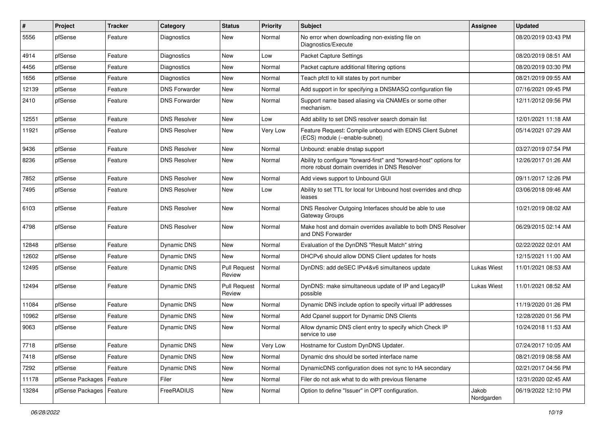| $\vert$ # | Project          | <b>Tracker</b> | Category             | <b>Status</b>                 | <b>Priority</b> | Subject                                                                                                             | Assignee            | <b>Updated</b>      |
|-----------|------------------|----------------|----------------------|-------------------------------|-----------------|---------------------------------------------------------------------------------------------------------------------|---------------------|---------------------|
| 5556      | pfSense          | Feature        | <b>Diagnostics</b>   | New                           | Normal          | No error when downloading non-existing file on<br>Diagnostics/Execute                                               |                     | 08/20/2019 03:43 PM |
| 4914      | pfSense          | Feature        | Diagnostics          | New                           | Low             | Packet Capture Settings                                                                                             |                     | 08/20/2019 08:51 AM |
| 4456      | pfSense          | Feature        | Diagnostics          | New                           | Normal          | Packet capture additional filtering options                                                                         |                     | 08/20/2019 03:30 PM |
| 1656      | pfSense          | Feature        | <b>Diagnostics</b>   | New                           | Normal          | Teach pfctl to kill states by port number                                                                           |                     | 08/21/2019 09:55 AM |
| 12139     | pfSense          | Feature        | <b>DNS Forwarder</b> | New                           | Normal          | Add support in for specifying a DNSMASQ configuration file                                                          |                     | 07/16/2021 09:45 PM |
| 2410      | pfSense          | Feature        | <b>DNS Forwarder</b> | <b>New</b>                    | Normal          | Support name based aliasing via CNAMEs or some other<br>mechanism.                                                  |                     | 12/11/2012 09:56 PM |
| 12551     | pfSense          | Feature        | <b>DNS Resolver</b>  | New                           | Low             | Add ability to set DNS resolver search domain list                                                                  |                     | 12/01/2021 11:18 AM |
| 11921     | pfSense          | Feature        | <b>DNS Resolver</b>  | New                           | Very Low        | Feature Request: Compile unbound with EDNS Client Subnet<br>(ECS) module (--enable-subnet)                          |                     | 05/14/2021 07:29 AM |
| 9436      | pfSense          | Feature        | <b>DNS Resolver</b>  | New                           | Normal          | Unbound: enable dnstap support                                                                                      |                     | 03/27/2019 07:54 PM |
| 8236      | pfSense          | Feature        | <b>DNS Resolver</b>  | <b>New</b>                    | Normal          | Ability to configure "forward-first" and "forward-host" options for<br>more robust domain overrides in DNS Resolver |                     | 12/26/2017 01:26 AM |
| 7852      | pfSense          | Feature        | <b>DNS Resolver</b>  | New                           | Normal          | Add views support to Unbound GUI                                                                                    |                     | 09/11/2017 12:26 PM |
| 7495      | pfSense          | Feature        | <b>DNS Resolver</b>  | New                           | Low             | Ability to set TTL for local for Unbound host overrides and dhcp<br>leases                                          |                     | 03/06/2018 09:46 AM |
| 6103      | pfSense          | Feature        | <b>DNS Resolver</b>  | <b>New</b>                    | Normal          | DNS Resolver Outgoing Interfaces should be able to use<br>Gateway Groups                                            |                     | 10/21/2019 08:02 AM |
| 4798      | pfSense          | Feature        | <b>DNS Resolver</b>  | <b>New</b>                    | Normal          | Make host and domain overrides available to both DNS Resolver<br>and DNS Forwarder                                  |                     | 06/29/2015 02:14 AM |
| 12848     | pfSense          | Feature        | Dynamic DNS          | New                           | Normal          | Evaluation of the DynDNS "Result Match" string                                                                      |                     | 02/22/2022 02:01 AM |
| 12602     | pfSense          | Feature        | Dynamic DNS          | New                           | Normal          | DHCPv6 should allow DDNS Client updates for hosts                                                                   |                     | 12/15/2021 11:00 AM |
| 12495     | pfSense          | Feature        | Dynamic DNS          | <b>Pull Request</b><br>Review | Normal          | DynDNS: add deSEC IPv4&v6 simultaneos update                                                                        | Lukas Wiest         | 11/01/2021 08:53 AM |
| 12494     | pfSense          | Feature        | Dynamic DNS          | <b>Pull Request</b><br>Review | Normal          | DynDNS: make simultaneous update of IP and LegacyIP<br>possible                                                     | Lukas Wiest         | 11/01/2021 08:52 AM |
| 11084     | pfSense          | Feature        | Dynamic DNS          | <b>New</b>                    | Normal          | Dynamic DNS include option to specify virtual IP addresses                                                          |                     | 11/19/2020 01:26 PM |
| 10962     | pfSense          | Feature        | Dynamic DNS          | <b>New</b>                    | Normal          | Add Cpanel support for Dynamic DNS Clients                                                                          |                     | 12/28/2020 01:56 PM |
| 9063      | pfSense          | Feature        | Dynamic DNS          | New                           | Normal          | Allow dynamic DNS client entry to specify which Check IP<br>service to use                                          |                     | 10/24/2018 11:53 AM |
| 7718      | pfSense          | Feature        | Dynamic DNS          | New                           | Very Low        | Hostname for Custom DynDNS Updater.                                                                                 |                     | 07/24/2017 10:05 AM |
| 7418      | pfSense          | Feature        | Dynamic DNS          | New                           | Normal          | Dynamic dns should be sorted interface name                                                                         |                     | 08/21/2019 08:58 AM |
| 7292      | pfSense          | Feature        | Dynamic DNS          | New                           | Normal          | DynamicDNS configuration does not sync to HA secondary                                                              |                     | 02/21/2017 04:56 PM |
| 11178     | pfSense Packages | Feature        | Filer                | New                           | Normal          | Filer do not ask what to do with previous filename                                                                  |                     | 12/31/2020 02:45 AM |
| 13284     | pfSense Packages | Feature        | FreeRADIUS           | New                           | Normal          | Option to define "Issuer" in OPT configuration.                                                                     | Jakob<br>Nordgarden | 06/19/2022 12:10 PM |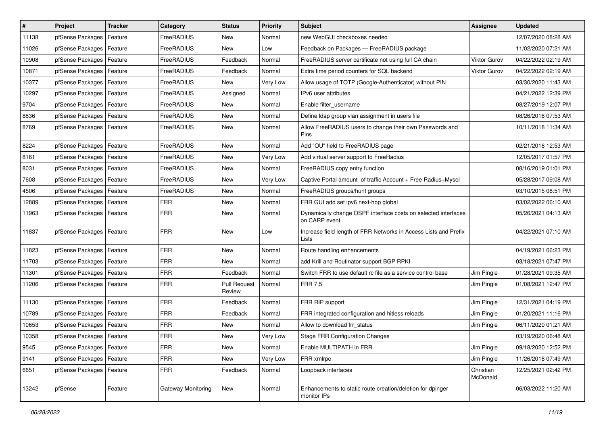| $\vert$ # | Project                    | <b>Tracker</b> | Category           | <b>Status</b>                 | <b>Priority</b> | <b>Subject</b>                                                                  | <b>Assignee</b>       | <b>Updated</b>      |
|-----------|----------------------------|----------------|--------------------|-------------------------------|-----------------|---------------------------------------------------------------------------------|-----------------------|---------------------|
| 11138     | pfSense Packages           | Feature        | <b>FreeRADIUS</b>  | New                           | Normal          | new WebGUI checkboxes needed                                                    |                       | 12/07/2020 08:28 AM |
| 11026     | pfSense Packages           | Feature        | FreeRADIUS         | New                           | Low             | Feedback on Packages - FreeRADIUS package                                       |                       | 11/02/2020 07:21 AM |
| 10908     | pfSense Packages           | Feature        | FreeRADIUS         | Feedback                      | Normal          | FreeRADIUS server certificate not using full CA chain                           | <b>Viktor Gurov</b>   | 04/22/2022 02:19 AM |
| 10871     | pfSense Packages           | Feature        | FreeRADIUS         | Feedback                      | Normal          | Extra time period counters for SQL backend                                      | Viktor Gurov          | 04/22/2022 02:19 AM |
| 10377     | pfSense Packages           | Feature        | FreeRADIUS         | New                           | Very Low        | Allow usage of TOTP (Google-Authenticator) without PIN                          |                       | 03/30/2020 11:43 AM |
| 10297     | pfSense Packages           | Feature        | FreeRADIUS         | Assigned                      | Normal          | IPv6 user attributes                                                            |                       | 04/21/2022 12:39 PM |
| 9704      | pfSense Packages           | Feature        | FreeRADIUS         | New                           | Normal          | Enable filter_username                                                          |                       | 08/27/2019 12:07 PM |
| 8836      | pfSense Packages           | Feature        | FreeRADIUS         | New                           | Normal          | Define Idap group vlan assignment in users file                                 |                       | 08/26/2018 07:53 AM |
| 8769      | pfSense Packages           | Feature        | FreeRADIUS         | New                           | Normal          | Allow FreeRADIUS users to change their own Passwords and<br>Pins                |                       | 10/11/2018 11:34 AM |
| 8224      | pfSense Packages           | Feature        | FreeRADIUS         | New                           | Normal          | Add "OU" field to FreeRADIUS page                                               |                       | 02/21/2018 12:53 AM |
| 8161      | pfSense Packages           | Feature        | FreeRADIUS         | <b>New</b>                    | Very Low        | Add virtual server support to FreeRadius                                        |                       | 12/05/2017 01:57 PM |
| 8031      | pfSense Packages           | Feature        | FreeRADIUS         | <b>New</b>                    | Normal          | FreeRADIUS copy entry function                                                  |                       | 08/16/2019 01:01 PM |
| 7608      | pfSense Packages           | Feature        | FreeRADIUS         | New                           | Very Low        | Captive Portal amount of traffic Account + Free Radius+Mysgl                    |                       | 05/28/2017 09:08 AM |
| 4506      | pfSense Packages           | Feature        | FreeRADIUS         | New                           | Normal          | FreeRADIUS groups/hunt groups                                                   |                       | 03/10/2015 08:51 PM |
| 12889     | pfSense Packages           | Feature        | <b>FRR</b>         | <b>New</b>                    | Normal          | FRR GUI add set ipv6 next-hop global                                            |                       | 03/02/2022 06:10 AM |
| 11963     | pfSense Packages           | Feature        | <b>FRR</b>         | New                           | Normal          | Dynamically change OSPF interface costs on selected interfaces<br>on CARP event |                       | 05/26/2021 04:13 AM |
| 11837     | pfSense Packages           | Feature        | <b>FRR</b>         | New                           | Low             | Increase field length of FRR Networks in Access Lists and Prefix<br>Lists       |                       | 04/22/2021 07:10 AM |
| 11823     | pfSense Packages           | Feature        | <b>FRR</b>         | <b>New</b>                    | Normal          | Route handling enhancements                                                     |                       | 04/19/2021 06:23 PM |
| 11703     | pfSense Packages           | Feature        | <b>FRR</b>         | New                           | Normal          | add Krill and Routinator support BGP RPKI                                       |                       | 03/18/2021 07:47 PM |
| 11301     | pfSense Packages           | Feature        | <b>FRR</b>         | Feedback                      | Normal          | Switch FRR to use default rc file as a service control base                     | Jim Pingle            | 01/28/2021 09:35 AM |
| 11206     | pfSense Packages           | Feature        | <b>FRR</b>         | <b>Pull Request</b><br>Review | Normal          | <b>FRR 7.5</b>                                                                  | Jim Pingle            | 01/08/2021 12:47 PM |
| 11130     | pfSense Packages           | Feature        | <b>FRR</b>         | Feedback                      | Normal          | FRR RIP support                                                                 | Jim Pingle            | 12/31/2021 04:19 PM |
| 10789     | pfSense Packages           | Feature        | <b>FRR</b>         | Feedback                      | Normal          | FRR integrated configuration and hitless reloads                                | Jim Pingle            | 01/20/2021 11:16 PM |
| 10653     | pfSense Packages           | Feature        | <b>FRR</b>         | New                           | Normal          | Allow to download frr status                                                    | Jim Pingle            | 06/11/2020 01:21 AM |
| 10358     | pfSense Packages   Feature |                | <b>FRR</b>         | <b>New</b>                    | Very Low        | <b>Stage FRR Configuration Changes</b>                                          |                       | 03/19/2020 06:48 AM |
| 9545      | pfSense Packages           | Feature        | <b>FRR</b>         | New                           | Normal          | Enable MULTIPATH in FRR                                                         | Jim Pingle            | 09/18/2020 12:52 PM |
| 9141      | pfSense Packages           | Feature        | <b>FRR</b>         | New                           | Very Low        | FRR xmlrpc                                                                      | Jim Pingle            | 11/26/2018 07:49 AM |
| 6651      | pfSense Packages           | Feature        | <b>FRR</b>         | Feedback                      | Normal          | Loopback interfaces                                                             | Christian<br>McDonald | 12/25/2021 02:42 PM |
| 13242     | pfSense                    | Feature        | Gateway Monitoring | New                           | Normal          | Enhancements to static route creation/deletion for dpinger<br>monitor IPs       |                       | 06/03/2022 11:20 AM |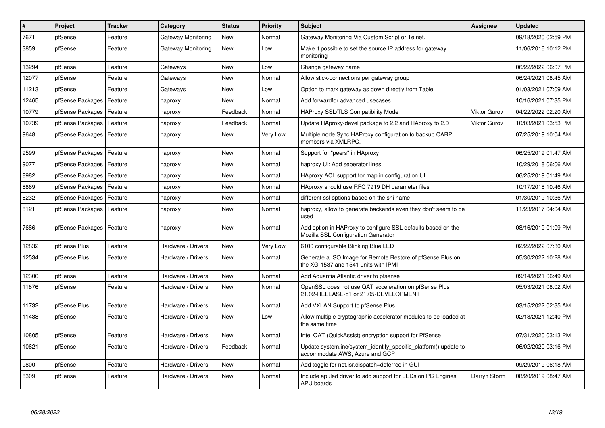| $\sharp$ | <b>Project</b>   | <b>Tracker</b> | Category           | <b>Status</b> | <b>Priority</b> | <b>Subject</b>                                                                                             | <b>Assignee</b>     | <b>Updated</b>      |
|----------|------------------|----------------|--------------------|---------------|-----------------|------------------------------------------------------------------------------------------------------------|---------------------|---------------------|
| 7671     | pfSense          | Feature        | Gateway Monitoring | <b>New</b>    | Normal          | Gateway Monitoring Via Custom Script or Telnet.                                                            |                     | 09/18/2020 02:59 PM |
| 3859     | pfSense          | Feature        | Gateway Monitoring | New           | Low             | Make it possible to set the source IP address for gateway<br>monitoring                                    |                     | 11/06/2016 10:12 PM |
| 13294    | pfSense          | Feature        | Gateways           | <b>New</b>    | Low             | Change gateway name                                                                                        |                     | 06/22/2022 06:07 PM |
| 12077    | pfSense          | Feature        | Gateways           | New           | Normal          | Allow stick-connections per gateway group                                                                  |                     | 06/24/2021 08:45 AM |
| 11213    | pfSense          | Feature        | Gateways           | New           | Low             | Option to mark gateway as down directly from Table                                                         |                     | 01/03/2021 07:09 AM |
| 12465    | pfSense Packages | Feature        | haproxy            | New           | Normal          | Add forwardfor advanced usecases                                                                           |                     | 10/16/2021 07:35 PM |
| 10779    | pfSense Packages | Feature        | haproxy            | Feedback      | Normal          | <b>HAProxy SSL/TLS Compatibility Mode</b>                                                                  | <b>Viktor Gurov</b> | 04/22/2022 02:20 AM |
| 10739    | pfSense Packages | Feature        | haproxy            | Feedback      | Normal          | Update HAproxy-devel package to 2.2 and HAproxy to 2.0                                                     | <b>Viktor Gurov</b> | 10/03/2021 03:53 PM |
| 9648     | pfSense Packages | Feature        | haproxy            | New           | Very Low        | Multiple node Sync HAProxy configuration to backup CARP<br>members via XMLRPC.                             |                     | 07/25/2019 10:04 AM |
| 9599     | pfSense Packages | Feature        | haproxy            | <b>New</b>    | Normal          | Support for "peers" in HAproxy                                                                             |                     | 06/25/2019 01:47 AM |
| 9077     | pfSense Packages | Feature        | haproxy            | New           | Normal          | haproxy UI: Add seperator lines                                                                            |                     | 10/29/2018 06:06 AM |
| 8982     | pfSense Packages | Feature        | haproxy            | New           | Normal          | HAproxy ACL support for map in configuration UI                                                            |                     | 06/25/2019 01:49 AM |
| 8869     | pfSense Packages | Feature        | haproxy            | <b>New</b>    | Normal          | HAproxy should use RFC 7919 DH parameter files                                                             |                     | 10/17/2018 10:46 AM |
| 8232     | pfSense Packages | Feature        | haproxy            | New           | Normal          | different ssl options based on the sni name                                                                |                     | 01/30/2019 10:36 AM |
| 8121     | pfSense Packages | Feature        | haproxy            | New           | Normal          | haproxy, allow to generate backends even they don't seem to be<br>used                                     |                     | 11/23/2017 04:04 AM |
| 7686     | pfSense Packages | Feature        | haproxy            | New           | Normal          | Add option in HAProxy to configure SSL defaults based on the<br><b>Mozilla SSL Configuration Generator</b> |                     | 08/16/2019 01:09 PM |
| 12832    | pfSense Plus     | Feature        | Hardware / Drivers | New           | Very Low        | 6100 configurable Blinking Blue LED                                                                        |                     | 02/22/2022 07:30 AM |
| 12534    | pfSense Plus     | Feature        | Hardware / Drivers | New           | Normal          | Generate a ISO Image for Remote Restore of pfSense Plus on<br>the XG-1537 and 1541 units with IPMI         |                     | 05/30/2022 10:28 AM |
| 12300    | pfSense          | Feature        | Hardware / Drivers | <b>New</b>    | Normal          | Add Aquantia Atlantic driver to pfsense                                                                    |                     | 09/14/2021 06:49 AM |
| 11876    | pfSense          | Feature        | Hardware / Drivers | New           | Normal          | OpenSSL does not use QAT acceleration on pfSense Plus<br>21.02-RELEASE-p1 or 21.05-DEVELOPMENT             |                     | 05/03/2021 08:02 AM |
| 11732    | pfSense Plus     | Feature        | Hardware / Drivers | <b>New</b>    | Normal          | Add VXLAN Support to pfSense Plus                                                                          |                     | 03/15/2022 02:35 AM |
| 11438    | pfSense          | Feature        | Hardware / Drivers | New           | Low             | Allow multiple cryptographic accelerator modules to be loaded at<br>the same time                          |                     | 02/18/2021 12:40 PM |
| 10805    | pfSense          | Feature        | Hardware / Drivers | <b>New</b>    | Normal          | Intel QAT (QuickAssist) encryption support for PfSense                                                     |                     | 07/31/2020 03:13 PM |
| 10621    | pfSense          | Feature        | Hardware / Drivers | Feedback      | Normal          | Update system.inc/system_identify_specific_platform() update to<br>accommodate AWS, Azure and GCP          |                     | 06/02/2020 03:16 PM |
| 9800     | pfSense          | Feature        | Hardware / Drivers | <b>New</b>    | Normal          | Add toggle for net.isr.dispatch=deferred in GUI                                                            |                     | 09/29/2019 06:18 AM |
| 8309     | pfSense          | Feature        | Hardware / Drivers | <b>New</b>    | Normal          | Include apuled driver to add support for LEDs on PC Engines<br>APU boards                                  | Darryn Storm        | 08/20/2019 08:47 AM |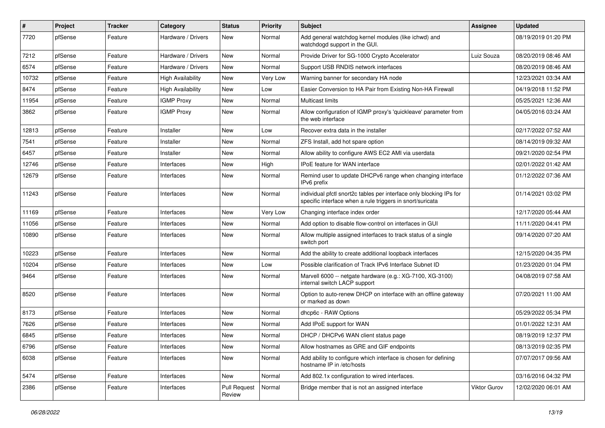| $\sharp$ | Project | <b>Tracker</b> | Category                 | <b>Status</b>                 | <b>Priority</b> | <b>Subject</b>                                                                                                                   | Assignee     | <b>Updated</b>      |
|----------|---------|----------------|--------------------------|-------------------------------|-----------------|----------------------------------------------------------------------------------------------------------------------------------|--------------|---------------------|
| 7720     | pfSense | Feature        | Hardware / Drivers       | New                           | Normal          | Add general watchdog kernel modules (like ichwd) and<br>watchdogd support in the GUI.                                            |              | 08/19/2019 01:20 PM |
| 7212     | pfSense | Feature        | Hardware / Drivers       | New                           | Normal          | Provide Driver for SG-1000 Crypto Accelerator                                                                                    | Luiz Souza   | 08/20/2019 08:46 AM |
| 6574     | pfSense | Feature        | Hardware / Drivers       | New                           | Normal          | Support USB RNDIS network interfaces                                                                                             |              | 08/20/2019 08:46 AM |
| 10732    | pfSense | Feature        | <b>High Availability</b> | <b>New</b>                    | Very Low        | Warning banner for secondary HA node                                                                                             |              | 12/23/2021 03:34 AM |
| 8474     | pfSense | Feature        | <b>High Availability</b> | New                           | Low             | Easier Conversion to HA Pair from Existing Non-HA Firewall                                                                       |              | 04/19/2018 11:52 PM |
| 11954    | pfSense | Feature        | <b>IGMP Proxy</b>        | New                           | Normal          | <b>Multicast limits</b>                                                                                                          |              | 05/25/2021 12:36 AM |
| 3862     | pfSense | Feature        | <b>IGMP Proxy</b>        | <b>New</b>                    | Normal          | Allow configuration of IGMP proxy's 'quickleave' parameter from<br>the web interface                                             |              | 04/05/2016 03:24 AM |
| 12813    | pfSense | Feature        | Installer                | <b>New</b>                    | Low             | Recover extra data in the installer                                                                                              |              | 02/17/2022 07:52 AM |
| 7541     | pfSense | Feature        | Installer                | New                           | Normal          | ZFS Install, add hot spare option                                                                                                |              | 08/14/2019 09:32 AM |
| 6457     | pfSense | Feature        | Installer                | New                           | Normal          | Allow ability to configure AWS EC2 AMI via userdata                                                                              |              | 09/21/2020 02:54 PM |
| 12746    | pfSense | Feature        | Interfaces               | <b>New</b>                    | High            | IPoE feature for WAN interface                                                                                                   |              | 02/01/2022 01:42 AM |
| 12679    | pfSense | Feature        | Interfaces               | New                           | Normal          | Remind user to update DHCPv6 range when changing interface<br>IPv6 prefix                                                        |              | 01/12/2022 07:36 AM |
| 11243    | pfSense | Feature        | Interfaces               | <b>New</b>                    | Normal          | individual pfctl snort2c tables per interface only blocking IPs for<br>specific interface when a rule triggers in snort/suricata |              | 01/14/2021 03:02 PM |
| 11169    | pfSense | Feature        | Interfaces               | <b>New</b>                    | Very Low        | Changing interface index order                                                                                                   |              | 12/17/2020 05:44 AM |
| 11056    | pfSense | Feature        | Interfaces               | New                           | Normal          | Add option to disable flow-control on interfaces in GUI                                                                          |              | 11/11/2020 04:41 PM |
| 10890    | pfSense | Feature        | Interfaces               | New                           | Normal          | Allow multiple assigned interfaces to track status of a single<br>switch port                                                    |              | 09/14/2020 07:20 AM |
| 10223    | pfSense | Feature        | Interfaces               | New                           | Normal          | Add the ability to create additional loopback interfaces                                                                         |              | 12/15/2020 04:35 PM |
| 10204    | pfSense | Feature        | Interfaces               | New                           | Low             | Possible clarification of Track IPv6 Interface Subnet ID                                                                         |              | 01/23/2020 01:04 PM |
| 9464     | pfSense | Feature        | Interfaces               | <b>New</b>                    | Normal          | Marvell 6000 -- netgate hardware (e.g.: XG-7100, XG-3100)<br>internal switch LACP support                                        |              | 04/08/2019 07:58 AM |
| 8520     | pfSense | Feature        | Interfaces               | <b>New</b>                    | Normal          | Option to auto-renew DHCP on interface with an offline gateway<br>or marked as down                                              |              | 07/20/2021 11:00 AM |
| 8173     | pfSense | Feature        | Interfaces               | <b>New</b>                    | Normal          | dhcp6c - RAW Options                                                                                                             |              | 05/29/2022 05:34 PM |
| 7626     | pfSense | Feature        | Interfaces               | New                           | Normal          | Add IPoE support for WAN                                                                                                         |              | 01/01/2022 12:31 AM |
| 6845     | pfSense | Feature        | Interfaces               | New                           | Normal          | DHCP / DHCPv6 WAN client status page                                                                                             |              | 08/19/2019 12:37 PM |
| 6796     | pfSense | Feature        | Interfaces               | New                           | Normal          | Allow hostnames as GRE and GIF endpoints                                                                                         |              | 08/13/2019 02:35 PM |
| 6038     | pfSense | Feature        | Interfaces               | New                           | Normal          | Add ability to configure which interface is chosen for defining<br>hostname IP in /etc/hosts                                     |              | 07/07/2017 09:56 AM |
| 5474     | pfSense | Feature        | Interfaces               | New                           | Normal          | Add 802.1x configuration to wired interfaces.                                                                                    |              | 03/16/2016 04:32 PM |
| 2386     | pfSense | Feature        | Interfaces               | <b>Pull Request</b><br>Review | Normal          | Bridge member that is not an assigned interface                                                                                  | Viktor Gurov | 12/02/2020 06:01 AM |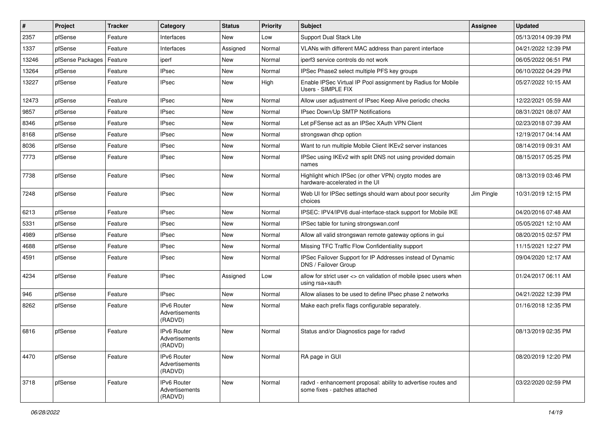| $\vert$ # | Project          | <b>Tracker</b> | Category                                 | <b>Status</b> | <b>Priority</b> | Subject                                                                                        | Assignee   | <b>Updated</b>      |
|-----------|------------------|----------------|------------------------------------------|---------------|-----------------|------------------------------------------------------------------------------------------------|------------|---------------------|
| 2357      | pfSense          | Feature        | Interfaces                               | New           | Low             | Support Dual Stack Lite                                                                        |            | 05/13/2014 09:39 PM |
| 1337      | pfSense          | Feature        | Interfaces                               | Assigned      | Normal          | VLANs with different MAC address than parent interface                                         |            | 04/21/2022 12:39 PM |
| 13246     | pfSense Packages | Feature        | iperf                                    | New           | Normal          | iperf3 service controls do not work                                                            |            | 06/05/2022 06:51 PM |
| 13264     | pfSense          | Feature        | <b>IPsec</b>                             | New           | Normal          | IPSec Phase2 select multiple PFS key groups                                                    |            | 06/10/2022 04:29 PM |
| 13227     | pfSense          | Feature        | <b>IPsec</b>                             | New           | High            | Enable IPSec Virtual IP Pool assignment by Radius for Mobile<br>Users - SIMPLE FIX             |            | 05/27/2022 10:15 AM |
| 12473     | pfSense          | Feature        | <b>IPsec</b>                             | New           | Normal          | Allow user adjustment of IPsec Keep Alive periodic checks                                      |            | 12/22/2021 05:59 AM |
| 9857      | pfSense          | Feature        | <b>IPsec</b>                             | New           | Normal          | IPsec Down/Up SMTP Notifications                                                               |            | 08/31/2021 08:07 AM |
| 8346      | pfSense          | Feature        | <b>IPsec</b>                             | New           | Normal          | Let pFSense act as an IPSec XAuth VPN Client                                                   |            | 02/23/2018 07:39 AM |
| 8168      | pfSense          | Feature        | <b>IPsec</b>                             | New           | Normal          | strongswan dhcp option                                                                         |            | 12/19/2017 04:14 AM |
| 8036      | pfSense          | Feature        | <b>IPsec</b>                             | New           | Normal          | Want to run multiple Mobile Client IKEv2 server instances                                      |            | 08/14/2019 09:31 AM |
| 7773      | pfSense          | Feature        | <b>IPsec</b>                             | New           | Normal          | IPSec using IKEv2 with split DNS not using provided domain<br>names                            |            | 08/15/2017 05:25 PM |
| 7738      | pfSense          | Feature        | <b>IPsec</b>                             | New           | Normal          | Highlight which IPSec (or other VPN) crypto modes are<br>hardware-accelerated in the UI        |            | 08/13/2019 03:46 PM |
| 7248      | pfSense          | Feature        | <b>IPsec</b>                             | New           | Normal          | Web UI for IPSec settings should warn about poor security<br>choices                           | Jim Pingle | 10/31/2019 12:15 PM |
| 6213      | pfSense          | Feature        | <b>IPsec</b>                             | New           | Normal          | IPSEC: IPV4/IPV6 dual-interface-stack support for Mobile IKE                                   |            | 04/20/2016 07:48 AM |
| 5331      | pfSense          | Feature        | <b>IPsec</b>                             | New           | Normal          | IPSec table for tuning strongswan.conf                                                         |            | 05/05/2021 12:10 AM |
| 4989      | pfSense          | Feature        | <b>IPsec</b>                             | New           | Normal          | Allow all valid strongswan remote gateway options in gui                                       |            | 08/20/2015 02:57 PM |
| 4688      | pfSense          | Feature        | <b>IPsec</b>                             | New           | Normal          | Missing TFC Traffic Flow Confidentiality support                                               |            | 11/15/2021 12:27 PM |
| 4591      | pfSense          | Feature        | <b>IPsec</b>                             | New           | Normal          | IPSec Failover Support for IP Addresses instead of Dynamic<br>DNS / Failover Group             |            | 09/04/2020 12:17 AM |
| 4234      | pfSense          | Feature        | <b>IPsec</b>                             | Assigned      | Low             | allow for strict user <> cn validation of mobile ipsec users when<br>using rsa+xauth           |            | 01/24/2017 06:11 AM |
| 946       | pfSense          | Feature        | <b>IPsec</b>                             | <b>New</b>    | Normal          | Allow aliases to be used to define IPsec phase 2 networks                                      |            | 04/21/2022 12:39 PM |
| 8262      | pfSense          | Feature        | IPv6 Router<br>Advertisements<br>(RADVD) | New           | Normal          | Make each prefix flags configurable separately.                                                |            | 01/16/2018 12:35 PM |
| 6816      | pfSense          | Feature        | IPv6 Router<br>Advertisements<br>(RADVD) | New           | Normal          | Status and/or Diagnostics page for radvd                                                       |            | 08/13/2019 02:35 PM |
| 4470      | pfSense          | Feature        | IPv6 Router<br>Advertisements<br>(RADVD) | New           | Normal          | RA page in GUI                                                                                 |            | 08/20/2019 12:20 PM |
| 3718      | pfSense          | Feature        | IPv6 Router<br>Advertisements<br>(RADVD) | New           | Normal          | radvd - enhancement proposal: ability to advertise routes and<br>some fixes - patches attached |            | 03/22/2020 02:59 PM |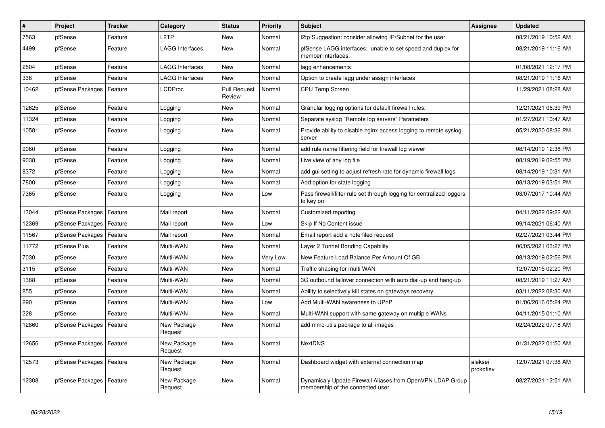| ∦     | Project          | <b>Tracker</b> | Category               | <b>Status</b>                 | Priority | <b>Subject</b>                                                                                 | <b>Assignee</b>      | <b>Updated</b>      |
|-------|------------------|----------------|------------------------|-------------------------------|----------|------------------------------------------------------------------------------------------------|----------------------|---------------------|
| 7563  | pfSense          | Feature        | L <sub>2</sub> TP      | <b>New</b>                    | Normal   | I2tp Suggestion: consider allowing IP/Subnet for the user.                                     |                      | 08/21/2019 10:52 AM |
| 4499  | pfSense          | Feature        | <b>LAGG Interfaces</b> | New                           | Normal   | pfSense LAGG interfaces; unable to set speed and duplex for<br>member interfaces.              |                      | 08/21/2019 11:16 AM |
| 2504  | pfSense          | Feature        | <b>LAGG Interfaces</b> | <b>New</b>                    | Normal   | lagg enhancements                                                                              |                      | 01/08/2021 12:17 PM |
| 336   | pfSense          | Feature        | <b>LAGG Interfaces</b> | New                           | Normal   | Option to create lagg under assign interfaces                                                  |                      | 08/21/2019 11:16 AM |
| 10462 | pfSense Packages | Feature        | LCDProc                | <b>Pull Request</b><br>Review | Normal   | <b>CPU Temp Screen</b>                                                                         |                      | 11/29/2021 08:28 AM |
| 12625 | pfSense          | Feature        | Logging                | <b>New</b>                    | Normal   | Granular logging options for default firewall rules.                                           |                      | 12/21/2021 06:39 PM |
| 11324 | pfSense          | Feature        | Logging                | <b>New</b>                    | Normal   | Separate syslog "Remote log servers" Parameters                                                |                      | 01/27/2021 10:47 AM |
| 10581 | pfSense          | Feature        | Logging                | New                           | Normal   | Provide ability to disable nginx access logging to remote syslog<br>server                     |                      | 05/21/2020 08:36 PM |
| 9060  | pfSense          | Feature        | Logging                | New                           | Normal   | add rule name filtering field for firewall log viewer                                          |                      | 08/14/2019 12:38 PM |
| 9038  | pfSense          | Feature        | Logging                | <b>New</b>                    | Normal   | Live view of any log file                                                                      |                      | 08/19/2019 02:55 PM |
| 8372  | pfSense          | Feature        | Logging                | <b>New</b>                    | Normal   | add gui setting to adjust refresh rate for dynamic firewall logs                               |                      | 08/14/2019 10:31 AM |
| 7800  | pfSense          | Feature        | Logging                | <b>New</b>                    | Normal   | Add option for state logging                                                                   |                      | 08/13/2019 03:51 PM |
| 7365  | pfSense          | Feature        | Logging                | <b>New</b>                    | Low      | Pass firewall/filter rule set through logging for centralized loggers<br>to key on             |                      | 03/07/2017 10:44 AM |
| 13044 | pfSense Packages | Feature        | Mail report            | <b>New</b>                    | Normal   | Customized reporting                                                                           |                      | 04/11/2022 09:22 AM |
| 12369 | pfSense Packages | Feature        | Mail report            | <b>New</b>                    | Low      | Skip If No Content issue                                                                       |                      | 09/14/2021 06:40 AM |
| 11567 | pfSense Packages | Feature        | Mail report            | New                           | Normal   | Email report add a note filed request                                                          |                      | 02/27/2021 03:44 PM |
| 11772 | pfSense Plus     | Feature        | Multi-WAN              | New                           | Normal   | Layer 2 Tunnel Bonding Capability                                                              |                      | 06/05/2021 03:27 PM |
| 7030  | pfSense          | Feature        | Multi-WAN              | <b>New</b>                    | Very Low | New Feature Load Balance Per Amount Of GB                                                      |                      | 08/13/2019 02:56 PM |
| 3115  | pfSense          | Feature        | Multi-WAN              | New                           | Normal   | Traffic shaping for multi WAN                                                                  |                      | 12/07/2015 02:20 PM |
| 1388  | pfSense          | Feature        | Multi-WAN              | <b>New</b>                    | Normal   | 3G outbound failover connection with auto dial-up and hang-up                                  |                      | 08/21/2019 11:27 AM |
| 855   | pfSense          | Feature        | Multi-WAN              | <b>New</b>                    | Normal   | Ability to selectively kill states on gateways recovery                                        |                      | 03/11/2022 08:30 AM |
| 290   | pfSense          | Feature        | Multi-WAN              | <b>New</b>                    | Low      | Add Multi-WAN awareness to UPnP                                                                |                      | 01/06/2016 05:24 PM |
| 228   | pfSense          | Feature        | Multi-WAN              | <b>New</b>                    | Normal   | Multi-WAN support with same gateway on multiple WANs                                           |                      | 04/11/2015 01:10 AM |
| 12860 | pfSense Packages | Feature        | New Package<br>Request | New                           | Normal   | add mmc-utils package to all images                                                            |                      | 02/24/2022 07:18 AM |
| 12656 | pfSense Packages | Feature        | New Package<br>Request | <b>New</b>                    | Normal   | <b>NextDNS</b>                                                                                 |                      | 01/31/2022 01:50 AM |
| 12573 | pfSense Packages | Feature        | New Package<br>Request | <b>New</b>                    | Normal   | Dashboard widget with external connection map                                                  | aleksei<br>prokofiev | 12/07/2021 07:38 AM |
| 12308 | pfSense Packages | Feature        | New Package<br>Request | New                           | Normal   | Dynamicaly Update Firewall Aliases from OpenVPN LDAP Group<br>membership of the connected user |                      | 08/27/2021 12:51 AM |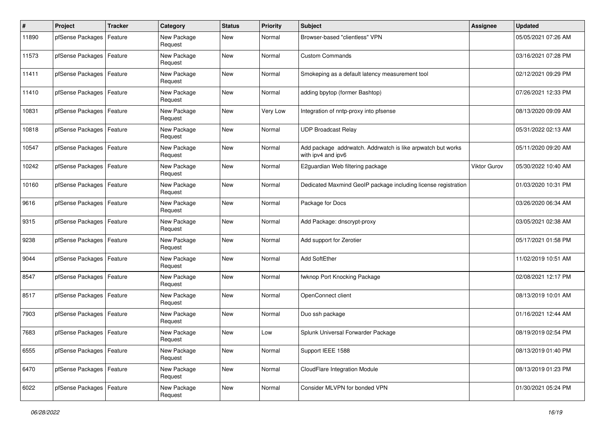| #     | Project                    | <b>Tracker</b> | Category               | <b>Status</b> | <b>Priority</b> | Subject                                                                           | Assignee     | <b>Updated</b>      |
|-------|----------------------------|----------------|------------------------|---------------|-----------------|-----------------------------------------------------------------------------------|--------------|---------------------|
| 11890 | pfSense Packages           | Feature        | New Package<br>Request | New           | Normal          | Browser-based "clientless" VPN                                                    |              | 05/05/2021 07:26 AM |
| 11573 | pfSense Packages           | Feature        | New Package<br>Request | New           | Normal          | <b>Custom Commands</b>                                                            |              | 03/16/2021 07:28 PM |
| 11411 | pfSense Packages           | Feature        | New Package<br>Request | <b>New</b>    | Normal          | Smokeping as a default latency measurement tool                                   |              | 02/12/2021 09:29 PM |
| 11410 | pfSense Packages   Feature |                | New Package<br>Request | <b>New</b>    | Normal          | adding bpytop (former Bashtop)                                                    |              | 07/26/2021 12:33 PM |
| 10831 | pfSense Packages           | Feature        | New Package<br>Request | <b>New</b>    | <b>Very Low</b> | Integration of nntp-proxy into pfsense                                            |              | 08/13/2020 09:09 AM |
| 10818 | pfSense Packages           | Feature        | New Package<br>Request | New           | Normal          | <b>UDP Broadcast Relay</b>                                                        |              | 05/31/2022 02:13 AM |
| 10547 | pfSense Packages           | Feature        | New Package<br>Request | <b>New</b>    | Normal          | Add package addrwatch. Addrwatch is like arpwatch but works<br>with ipv4 and ipv6 |              | 05/11/2020 09:20 AM |
| 10242 | pfSense Packages           | Feature        | New Package<br>Request | <b>New</b>    | Normal          | E2guardian Web filtering package                                                  | Viktor Gurov | 05/30/2022 10:40 AM |
| 10160 | pfSense Packages           | Feature        | New Package<br>Request | New           | Normal          | Dedicated Maxmind GeoIP package including license registration                    |              | 01/03/2020 10:31 PM |
| 9616  | pfSense Packages           | Feature        | New Package<br>Request | New           | Normal          | Package for Docs                                                                  |              | 03/26/2020 06:34 AM |
| 9315  | pfSense Packages   Feature |                | New Package<br>Request | <b>New</b>    | Normal          | Add Package: dnscrypt-proxy                                                       |              | 03/05/2021 02:38 AM |
| 9238  | pfSense Packages           | Feature        | New Package<br>Request | New           | Normal          | Add support for Zerotier                                                          |              | 05/17/2021 01:58 PM |
| 9044  | pfSense Packages           | Feature        | New Package<br>Request | New           | Normal          | <b>Add SoftEther</b>                                                              |              | 11/02/2019 10:51 AM |
| 8547  | pfSense Packages           | Feature        | New Package<br>Request | <b>New</b>    | Normal          | fwknop Port Knocking Package                                                      |              | 02/08/2021 12:17 PM |
| 8517  | pfSense Packages           | Feature        | New Package<br>Request | New           | Normal          | OpenConnect client                                                                |              | 08/13/2019 10:01 AM |
| 7903  | pfSense Packages           | Feature        | New Package<br>Request | New           | Normal          | Duo ssh package                                                                   |              | 01/16/2021 12:44 AM |
| 7683  | pfSense Packages           | Feature        | New Package<br>Request | <b>New</b>    | Low             | Splunk Universal Forwarder Package                                                |              | 08/19/2019 02:54 PM |
| 6555  | pfSense Packages   Feature |                | New Package<br>Request | New           | Normal          | Support IEEE 1588                                                                 |              | 08/13/2019 01:40 PM |
| 6470  | pfSense Packages   Feature |                | New Package<br>Request | New           | Normal          | CloudFlare Integration Module                                                     |              | 08/13/2019 01:23 PM |
| 6022  | pfSense Packages           | Feature        | New Package<br>Request | New           | Normal          | Consider MLVPN for bonded VPN                                                     |              | 01/30/2021 05:24 PM |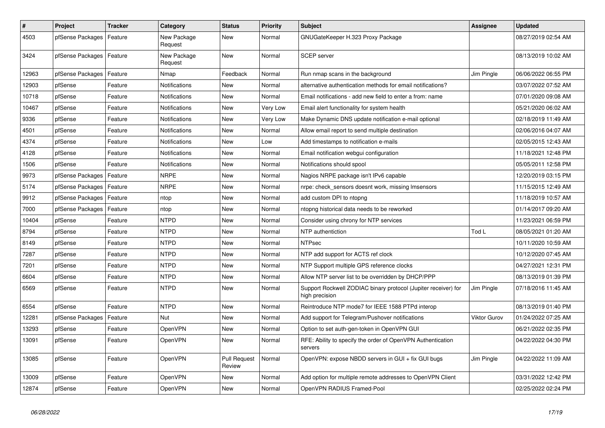| $\vert$ # | <b>Project</b>   | <b>Tracker</b> | Category               | <b>Status</b>                 | Priority | <b>Subject</b>                                                                   | <b>Assignee</b>     | <b>Updated</b>      |
|-----------|------------------|----------------|------------------------|-------------------------------|----------|----------------------------------------------------------------------------------|---------------------|---------------------|
| 4503      | pfSense Packages | Feature        | New Package<br>Request | <b>New</b>                    | Normal   | GNUGateKeeper H.323 Proxy Package                                                |                     | 08/27/2019 02:54 AM |
| 3424      | pfSense Packages | Feature        | New Package<br>Request | New                           | Normal   | <b>SCEP</b> server                                                               |                     | 08/13/2019 10:02 AM |
| 12963     | pfSense Packages | Feature        | Nmap                   | Feedback                      | Normal   | Run nmap scans in the background                                                 | Jim Pingle          | 06/06/2022 06:55 PM |
| 12903     | pfSense          | Feature        | Notifications          | <b>New</b>                    | Normal   | alternative authentication methods for email notifications?                      |                     | 03/07/2022 07:52 AM |
| 10718     | pfSense          | Feature        | Notifications          | <b>New</b>                    | Normal   | Email notifications - add new field to enter a from: name                        |                     | 07/01/2020 09:08 AM |
| 10467     | pfSense          | Feature        | Notifications          | <b>New</b>                    | Very Low | Email alert functionality for system health                                      |                     | 05/21/2020 06:02 AM |
| 9336      | pfSense          | Feature        | Notifications          | <b>New</b>                    | Very Low | Make Dynamic DNS update notification e-mail optional                             |                     | 02/18/2019 11:49 AM |
| 4501      | pfSense          | Feature        | Notifications          | New                           | Normal   | Allow email report to send multiple destination                                  |                     | 02/06/2016 04:07 AM |
| 4374      | pfSense          | Feature        | Notifications          | <b>New</b>                    | Low      | Add timestamps to notification e-mails                                           |                     | 02/05/2015 12:43 AM |
| 4128      | pfSense          | Feature        | Notifications          | <b>New</b>                    | Normal   | Email notification webgui configuration                                          |                     | 11/18/2021 12:48 PM |
| 1506      | pfSense          | Feature        | Notifications          | New                           | Normal   | Notifications should spool                                                       |                     | 05/05/2011 12:58 PM |
| 9973      | pfSense Packages | Feature        | <b>NRPE</b>            | New                           | Normal   | Nagios NRPE package isn't IPv6 capable                                           |                     | 12/20/2019 03:15 PM |
| 5174      | pfSense Packages | Feature        | <b>NRPE</b>            | New                           | Normal   | nrpe: check sensors doesnt work, missing Imsensors                               |                     | 11/15/2015 12:49 AM |
| 9912      | pfSense Packages | Feature        | ntop                   | <b>New</b>                    | Normal   | add custom DPI to ntopng                                                         |                     | 11/18/2019 10:57 AM |
| 7000      | pfSense Packages | Feature        | ntop                   | <b>New</b>                    | Normal   | ntopng historical data needs to be reworked                                      |                     | 01/14/2017 09:20 AM |
| 10404     | pfSense          | Feature        | <b>NTPD</b>            | <b>New</b>                    | Normal   | Consider using chrony for NTP services                                           |                     | 11/23/2021 06:59 PM |
| 8794      | pfSense          | Feature        | <b>NTPD</b>            | New                           | Normal   | NTP authentiction                                                                | Tod L               | 08/05/2021 01:20 AM |
| 8149      | pfSense          | Feature        | <b>NTPD</b>            | <b>New</b>                    | Normal   | <b>NTPsec</b>                                                                    |                     | 10/11/2020 10:59 AM |
| 7287      | pfSense          | Feature        | <b>NTPD</b>            | New                           | Normal   | NTP add support for ACTS ref clock                                               |                     | 10/12/2020 07:45 AM |
| 7201      | pfSense          | Feature        | <b>NTPD</b>            | New                           | Normal   | NTP Support multiple GPS reference clocks                                        |                     | 04/27/2021 12:31 PM |
| 6604      | pfSense          | Feature        | <b>NTPD</b>            | <b>New</b>                    | Normal   | Allow NTP server list to be overridden by DHCP/PPP                               |                     | 08/13/2019 01:39 PM |
| 6569      | pfSense          | Feature        | <b>NTPD</b>            | <b>New</b>                    | Normal   | Support Rockwell ZODIAC binary protocol (Jupiter receiver) for<br>high precision | Jim Pingle          | 07/18/2016 11:45 AM |
| 6554      | pfSense          | Feature        | <b>NTPD</b>            | New                           | Normal   | Reintroduce NTP mode7 for IEEE 1588 PTPd interop                                 |                     | 08/13/2019 01:40 PM |
| 12281     | pfSense Packages | Feature        | Nut                    | <b>New</b>                    | Normal   | Add support for Telegram/Pushover notifications                                  | <b>Viktor Gurov</b> | 01/24/2022 07:25 AM |
| 13293     | pfSense          | Feature        | OpenVPN                | <b>New</b>                    | Normal   | Option to set auth-gen-token in OpenVPN GUI                                      |                     | 06/21/2022 02:35 PM |
| 13091     | pfSense          | Feature        | OpenVPN                | New                           | Normal   | RFE: Ability to specify the order of OpenVPN Authentication<br>servers           |                     | 04/22/2022 04:30 PM |
| 13085     | pfSense          | Feature        | <b>OpenVPN</b>         | <b>Pull Request</b><br>Review | Normal   | OpenVPN: expose NBDD servers in GUI + fix GUI bugs                               | Jim Pingle          | 04/22/2022 11:09 AM |
| 13009     | pfSense          | Feature        | <b>OpenVPN</b>         | <b>New</b>                    | Normal   | Add option for multiple remote addresses to OpenVPN Client                       |                     | 03/31/2022 12:42 PM |
| 12874     | pfSense          | Feature        | <b>OpenVPN</b>         | <b>New</b>                    | Normal   | OpenVPN RADIUS Framed-Pool                                                       |                     | 02/25/2022 02:24 PM |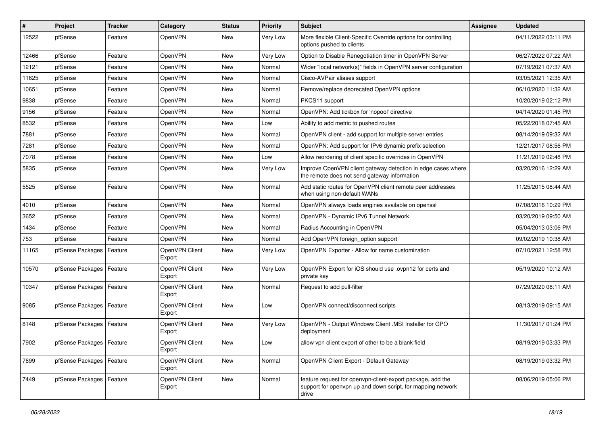| #     | Project                    | <b>Tracker</b> | Category                 | <b>Status</b> | <b>Priority</b> | Subject                                                                                                                            | Assignee | <b>Updated</b>      |
|-------|----------------------------|----------------|--------------------------|---------------|-----------------|------------------------------------------------------------------------------------------------------------------------------------|----------|---------------------|
| 12522 | pfSense                    | Feature        | OpenVPN                  | New           | Very Low        | More flexible Client-Specific Override options for controlling<br>options pushed to clients                                        |          | 04/11/2022 03:11 PM |
| 12466 | pfSense                    | Feature        | OpenVPN                  | New           | Very Low        | Option to Disable Renegotiation timer in OpenVPN Server                                                                            |          | 06/27/2022 07:22 AM |
| 12121 | pfSense                    | Feature        | <b>OpenVPN</b>           | New           | Normal          | Wider "local network(s)" fields in OpenVPN server configuration                                                                    |          | 07/19/2021 07:37 AM |
| 11625 | pfSense                    | Feature        | OpenVPN                  | <b>New</b>    | Normal          | Cisco-AVPair aliases support                                                                                                       |          | 03/05/2021 12:35 AM |
| 10651 | pfSense                    | Feature        | OpenVPN                  | New           | Normal          | Remove/replace deprecated OpenVPN options                                                                                          |          | 06/10/2020 11:32 AM |
| 9838  | pfSense                    | Feature        | OpenVPN                  | New           | Normal          | PKCS11 support                                                                                                                     |          | 10/20/2019 02:12 PM |
| 9156  | pfSense                    | Feature        | OpenVPN                  | New           | Normal          | OpenVPN: Add tickbox for 'nopool' directive                                                                                        |          | 04/14/2020 01:45 PM |
| 8532  | pfSense                    | Feature        | OpenVPN                  | New           | Low             | Ability to add metric to pushed routes                                                                                             |          | 05/22/2018 07:45 AM |
| 7881  | pfSense                    | Feature        | OpenVPN                  | New           | Normal          | OpenVPN client - add support for multiple server entries                                                                           |          | 08/14/2019 09:32 AM |
| 7281  | pfSense                    | Feature        | OpenVPN                  | New           | Normal          | OpenVPN: Add support for IPv6 dynamic prefix selection                                                                             |          | 12/21/2017 08:56 PM |
| 7078  | pfSense                    | Feature        | OpenVPN                  | New           | Low             | Allow reordering of client specific overrides in OpenVPN                                                                           |          | 11/21/2019 02:48 PM |
| 5835  | pfSense                    | Feature        | <b>OpenVPN</b>           | <b>New</b>    | Very Low        | Improve OpenVPN client gateway detection in edge cases where<br>the remote does not send gateway information                       |          | 03/20/2016 12:29 AM |
| 5525  | pfSense                    | Feature        | OpenVPN                  | New           | Normal          | Add static routes for OpenVPN client remote peer addresses<br>when using non-default WANs                                          |          | 11/25/2015 08:44 AM |
| 4010  | pfSense                    | Feature        | OpenVPN                  | New           | Normal          | OpenVPN always loads engines available on openssl                                                                                  |          | 07/08/2016 10:29 PM |
| 3652  | pfSense                    | Feature        | OpenVPN                  | <b>New</b>    | Normal          | OpenVPN - Dynamic IPv6 Tunnel Network                                                                                              |          | 03/20/2019 09:50 AM |
| 1434  | pfSense                    | Feature        | <b>OpenVPN</b>           | New           | Normal          | Radius Accounting in OpenVPN                                                                                                       |          | 05/04/2013 03:06 PM |
| 753   | pfSense                    | Feature        | OpenVPN                  | <b>New</b>    | Normal          | Add OpenVPN foreign_option support                                                                                                 |          | 09/02/2019 10:38 AM |
| 11165 | pfSense Packages           | Feature        | OpenVPN Client<br>Export | New           | Very Low        | OpenVPN Exporter - Allow for name customization                                                                                    |          | 07/10/2021 12:58 PM |
| 10570 | pfSense Packages           | Feature        | OpenVPN Client<br>Export | New           | Very Low        | OpenVPN Export for iOS should use .ovpn12 for certs and<br>private key                                                             |          | 05/19/2020 10:12 AM |
| 10347 | pfSense Packages           | Feature        | OpenVPN Client<br>Export | New           | Normal          | Request to add pull-filter                                                                                                         |          | 07/29/2020 08:11 AM |
| 9085  | pfSense Packages           | Feature        | OpenVPN Client<br>Export | New           | Low             | OpenVPN connect/disconnect scripts                                                                                                 |          | 08/13/2019 09:15 AM |
| 8148  | pfSense Packages   Feature |                | OpenVPN Client<br>Export | New           | Very Low        | OpenVPN - Output Windows Client .MSI Installer for GPO<br>deployment                                                               |          | 11/30/2017 01:24 PM |
| 7902  | pfSense Packages   Feature |                | OpenVPN Client<br>Export | New           | Low             | allow vpn client export of other to be a blank field                                                                               |          | 08/19/2019 03:33 PM |
| 7699  | pfSense Packages   Feature |                | OpenVPN Client<br>Export | New           | Normal          | OpenVPN Client Export - Default Gateway                                                                                            |          | 08/19/2019 03:32 PM |
| 7449  | pfSense Packages   Feature |                | OpenVPN Client<br>Export | New           | Normal          | feature request for openvpn-client-export package, add the<br>support for openypn up and down script, for mapping network<br>drive |          | 08/06/2019 05:06 PM |